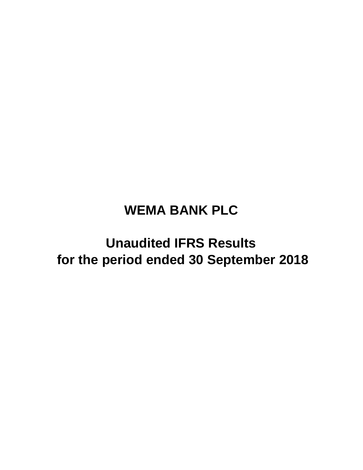# **WEMA BANK PLC**

# **for the period ended 30 September 2018 Unaudited IFRS Results**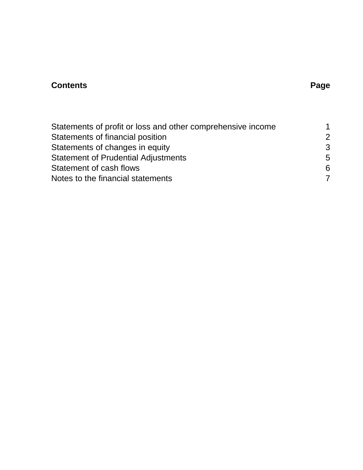## **Contents Page**

| Statements of profit or loss and other comprehensive income | 1             |
|-------------------------------------------------------------|---------------|
| Statements of financial position                            | $\mathcal{P}$ |
| Statements of changes in equity                             | -3            |
| <b>Statement of Prudential Adjustments</b>                  | -5            |
| Statement of cash flows                                     | 6             |
| Notes to the financial statements                           | 7             |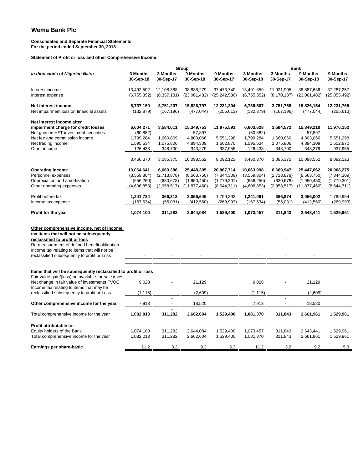#### **Consolidated and Separate Financial Statements For the period ended September 30, 2018**

**Statement of Profit or loss and other Comprehensive Income**

|                                                                |             |                          | Group          |                |                          |                          | <b>Bank</b>              |              |
|----------------------------------------------------------------|-------------|--------------------------|----------------|----------------|--------------------------|--------------------------|--------------------------|--------------|
| In thousands of Nigerian Naira                                 | 3 Months    | 3 Months                 | 9 Months       | 9 Months       | 3 Months                 | 3 Months                 | 9 Months                 | 9 Months     |
|                                                                | 30-Sep-18   | 30-Sep-17                | 30-Sep-18      | 30-Sep-17      | 30-Sep-18                | 30-Sep-17                | 30-Sep-18                | 30-Sep-17    |
|                                                                |             |                          |                |                |                          |                          |                          |              |
| Interest income                                                | 13,492,502  | 12,108,388               | 38,888,279     | 37,473,740     | 13,491,859               | 11,921,905               | 38,887,636               | 37,287,257   |
| Interest expense                                               | (6,755,352) | (8,357,181)              | (23,061,482)   | (25, 242, 536) | (6,755,352)              | (8, 170, 137)            | (23,061,482)             | (25,055,492) |
| Net interest income                                            | 6,737,150   | 3,751,207                | 15,826,797     | 12,231,204     | 6,736,507                | 3,751,768                | 15,826,154               | 12,231,765   |
| Net impairment loss on financial assets                        | (132, 879)  | (167, 196)               | (477, 044)     | (255, 613)     | (132, 879)               | (167, 196)               | (477, 044)               | (255, 613)   |
|                                                                |             |                          |                |                |                          |                          |                          |              |
| Net interest income after                                      |             |                          |                |                |                          |                          |                          |              |
| impairment charge for credit losses                            | 6,604,271   | 3,584,011                | 15,349,753     | 11,975,591     | 6,603,628                | 3,584,572                | 15,349,110               | 11,976,152   |
| Net gain on HFT investment securities                          | (60, 882)   |                          | 57,897         |                | (60, 882)                |                          | 57,897                   |              |
| Net fee and commission income                                  | 1,799,284   | 1,660,869                | 4,803,066      | 5,551,298      | 1,799,284                | 1,660,869                | 4,803,066                | 5,551,298    |
| Net trading income                                             | 1,595,534   | 1,075,806                | 4,894,309      | 1,602,870      | 1,595,534                | 1,075,806                | 4,894,309                | 1,602,870    |
| Other income                                                   | 126,433     | 348,700                  | 343,279        | 937,955        | 126,433                  | 348,700                  | 343,279                  | 937,955      |
|                                                                |             |                          |                |                |                          |                          |                          |              |
|                                                                | 3,460,370   | 3,085,375                | 10,098,552     | 8,092,123      | 3,460,370                | 3,085,375                | 10,098,552               | 8,092,123    |
| <b>Operating income</b>                                        | 10,064,641  | 6,669,386                | 25,448,305     | 20,067,714     | 10,063,998               | 6,669,947                | 25,447,662               | 20,068,275   |
| Personnel expenses                                             | (3,559,804) | (2,713,878)              | (8,563,750)    | (7,844,309)    | (3,559,804)              | (2,713,878)              | (8,563,750)              | (7,844,309)  |
| Depreciation and amortization                                  | (656, 250)  | (630, 678)               | (1,950,450)    | (1,779,301)    | (656, 250)               | (630, 678)               | (1,950,450)              | (1,779,301)  |
| Other operating expenses                                       | (4,606,853) | (2,958,517)              | (11, 877, 460) | (8,644,711)    | (4,606,853)              | (2,958,517)              | (11, 877, 460)           | (8,644,711)  |
|                                                                |             |                          |                |                |                          |                          |                          |              |
| Profit before tax                                              | 1,241,734   | 366,313                  | 3,056,645      | 1,799,393      | 1,241,091                | 366,874                  | 3,056,002                | 1,799,954    |
| Income tax expense                                             | (167, 634)  | (55,031)                 | (412, 560)     | (269, 993)     | (167, 634)               | (55,031)                 | (412,560)                | (269, 993)   |
|                                                                |             |                          |                |                |                          |                          |                          |              |
| Profit for the year                                            | 1,074,100   | 311,282                  | 2,644,084      | 1,529,400      | 1,073,457                | 311,843                  | 2,643,441                | 1,529,961    |
|                                                                |             |                          |                |                |                          |                          |                          |              |
| Other comprehensive income, net of income                      |             |                          |                |                |                          |                          |                          |              |
| tax Items that will not be subsequently                        |             |                          |                |                |                          |                          |                          |              |
| reclassified to profit or loss                                 |             |                          |                |                |                          |                          |                          |              |
| Re-measurement of defined benefit obligation                   |             |                          |                |                |                          |                          |                          |              |
| Income tax relating to items that will not be                  |             |                          |                |                |                          |                          |                          |              |
| reclassified subsequently to profit or Loss                    |             | $\overline{\phantom{a}}$ | $\overline{a}$ | $\blacksquare$ | $\overline{\phantom{a}}$ | $\overline{\phantom{a}}$ | $\overline{\phantom{a}}$ |              |
|                                                                |             |                          |                |                |                          |                          |                          |              |
| Items that will be subsequently reclassified to profit or loss |             |                          |                |                |                          |                          |                          |              |
| Fair value gain/(loss) on available-for-sale investi           |             |                          |                |                |                          |                          |                          |              |
| Net change in fair value of investments FVOCI                  | 9,028       |                          | 21,129         |                | 9,028                    |                          | 21,129                   |              |
| Income tax relating to items that may be                       |             |                          |                |                |                          |                          |                          |              |
| reclassified subsequently to profit or Loss                    | (1, 115)    |                          | (2,609)        |                | (1, 115)                 |                          | (2,609)                  |              |
|                                                                |             |                          |                |                |                          |                          |                          |              |
| Other comprehensive income for the year                        | 7,913       | ÷,                       | 18,520         |                | 7,913                    | $\blacksquare$           | 18,520                   |              |
| Total comprehensive income for the year                        | 1,082,013   | 311,282                  | 2,662,604      | 1,529,400      | 1,081,370                | 311,843                  | 2,661,961                | 1,529,961    |
|                                                                |             |                          |                |                |                          |                          |                          |              |
| Profit attributable to:                                        |             |                          |                |                |                          |                          |                          |              |
| Equity holders of the Bank                                     | 1,074,100   | 311,282                  | 2,644,084      | 1,529,400      | 1,073,457                | 311,843                  | 2,643,441                | 1,529,961    |
| Total comprehensive income for the year                        | 1,082,013   | 311,282                  | 2,662,604      | 1,529,400      | 1,081,370                | 311,843                  | 2,661,961                | 1,529,961    |
| Earnings per share-basic                                       | 11.2        | 3.2                      | 9.2            | 5.3            | 11.2                     | 3.2                      | 9.2                      | 5.3          |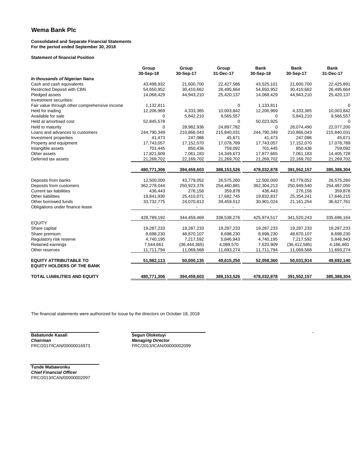#### **Consolidated and Separate Financial Statements For the period ended September 30, 2018**

**Statement of financial Position**

|                                               | Group<br>30-Sep-18 | Group<br>30-Sep-17 | Group<br>31-Dec-17 | <b>Bank</b><br>30-Sep-18 | <b>Bank</b><br>30-Sep-17 | <b>Bank</b><br>31-Dec-17 |
|-----------------------------------------------|--------------------|--------------------|--------------------|--------------------------|--------------------------|--------------------------|
| In thousands of Nigerian Naira                |                    |                    |                    |                          |                          |                          |
| Cash and cash equivalents                     | 43,498,932         | 21,600,700         | 22,427,586         | 43,525,101               | 21,600,700               | 22,425,891               |
| <b>Restricted Deposit with CBN</b>            | 54,650,952         | 30,410,662         | 26,495,664         | 54,650,952               | 30,410,662               | 26,495,664               |
| Pledged assets                                | 14,068,429         | 44,943,210         | 25,420,137         | 14,068,429               | 44,943,210               | 25,420,137               |
| Investment securities:                        |                    |                    |                    |                          |                          |                          |
| Fair value through other comprehensive income | 1,132,811          |                    | 0                  | 1,133,811                |                          | 0                        |
| Held for trading                              | 12,206,969         | 4,333,365          | 10,003,842         | 12,206,969               | 4,333,365                | 10,003,842               |
| Available for sale                            | 0                  | 5,842,210          | 9,565,557          | 0                        | 5,843,210                | 9,566,557                |
| Held at amortised cost                        | 52,845,578         |                    | 0                  | 50,023,925               |                          | $\Omega$                 |
| Held to maturity                              | $\Omega$           | 28,982,936         | 24,897,782         | 0                        | 26,074,490               | 22,077,200               |
| Loans and advances to customers               | 244,790,349        | 210,866,043        | 215,840,031        | 244,790,349              | 210,866,043              | 215,840,031              |
| Investment properties                         | 41,473             | 247,086            | 45,671             | 41,473                   | 247,086                  | 45,671                   |
| Property and equipment                        | 17,743,057         | 17,152,070         | 17,078,789         | 17,743,057               | 17,152,070               | 17,078,789               |
| Intangible assets                             | 701,445            | 850,436            | 759,092            | 701,445                  | 850,436                  | 759,092                  |
| Other assets                                  | 17,821,609         | 7,061,183          | 14,349,673         | 17,877,665               | 7,061,183                | 14,405,728               |
| Deferred tax assets                           | 21,269,702         | 22,169,702         | 21,269,702         | 21,269,702               | 22,169,702               | 21,269,702               |
|                                               | 480,771,306        | 394,459,603        | 388,153,526        | 478,032,878              | 391,552,157              | 385,388,304              |
| Deposits from banks                           | 12,500,000         | 43,779,052         | 26,575,260         | 12,500,000               | 43,779,052               | 26,575,260               |
| Deposits from customers                       | 362,278,044        | 250,923,376        | 254,460,881        | 362,304,213              | 250,949,540              | 254,487,050              |
| <b>Current tax liabilities</b>                | 436,443            | 276,156            | 359,878            | 436,443                  | 276,156                  | 359,878                  |
| Other liabilities                             | 19,841,930         | 25,410,071         | 17,682,745         | 19,832,837               | 25,354,241               | 17,646,215               |
| Other borrowed funds                          | 33,732,775         | 24,070,813         | 39,459,512         | 30,901,024               | 21, 161, 254             | 36,627,761               |
| Obligations under finance lease               |                    |                    |                    |                          |                          |                          |
|                                               |                    |                    |                    |                          |                          |                          |
|                                               | 428,789,192        | 344,459,469        | 338,538,276        | 425,974,517              | 341,520,243              | 335,696,164              |
| <b>EQUITY</b>                                 |                    |                    |                    |                          |                          |                          |
| Share capital                                 | 19,287,233         | 19,287,233         | 19,287,233         | 19,287,233               | 19,287,233               | 19,287,233               |
| Share premium                                 | 8,698,230          | 48,870,107         | 8,698,230          | 8,698,230                | 48,870,107               | 8,698,230                |
| Regulatory risk reserve                       | 4,740,195          | 7,217,592          | 5,846,943          | 4,740,195                | 7,217,592                | 5,846,943                |
| Retained earnings                             | 7,544,661          | (36, 444, 365)     | 4,089,570          | 7,620,909                | (36, 412, 585)           | 4,166,460                |
| Other reserves                                | 11,711,794         | 11,069,568         | 11,693,274         | 11,711,794               | 11,069,568               | 11,693,274               |
| <b>EQUITY ATTRIBUTABLE TO</b>                 | 51,982,113         | 50,000,135         | 49,615,250         | 52,058,360               | 50,031,914               | 49,692,140               |
| <b>EQUITY HOLDERS OF THE BANK</b>             |                    |                    |                    |                          |                          |                          |
| <b>TOTAL LIABILITIES AND EQUITY</b>           | 480,771,306        | 394,459,603        | 388,153,526        | 478,032,878              | 391,552,157              | 385,388,304              |

l.

The financial statements were authorized for issue by the directors on October 18, 2018

**Babatunde Kasali**<br>**Chairman** *Chairman Managing Director* FRC/2017/ICAN/00000016973 FRC/2013/ICAN/00000002099

**Tunde Mabawonku** *Chief Financial Officer* FRC/2013/ICAN/00000002097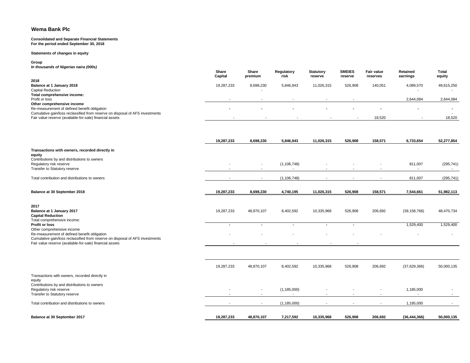#### **Consolidated and Separate Financial Statements For the period ended September 30, 2018**

**Statements of changes in equity**

#### **Group**

*In thousands of Nigerian naira (000s)*

|                                                                               | Share<br>Capital         | Share<br>premium | Regulatory<br>risk | <b>Statutory</b><br>reserve | <b>SMEIES</b><br>reserve | <b>Fair value</b><br>reserves | <b>Retained</b><br>earnings | <b>Total</b><br>equity |
|-------------------------------------------------------------------------------|--------------------------|------------------|--------------------|-----------------------------|--------------------------|-------------------------------|-----------------------------|------------------------|
| 2018                                                                          |                          |                  |                    |                             |                          |                               |                             |                        |
| Balance at 1 January 2018                                                     | 19,287,233               | 8,698,230        | 5,846,943          | 11,026,315                  | 526,908                  | 140,051                       | 4,089,570                   | 49,615,250             |
| <b>Capital Reduction</b>                                                      |                          |                  |                    |                             |                          |                               |                             |                        |
| Total comprehensive income:                                                   |                          |                  |                    |                             |                          |                               |                             |                        |
| Profit or loss                                                                |                          |                  |                    |                             |                          |                               | 2,644,084                   | 2,644,084              |
| Other comprehensive income                                                    |                          |                  |                    |                             |                          |                               |                             |                        |
| Re-measurement of defined benefit obligation                                  | $\overline{\phantom{a}}$ | . .              |                    | . .                         | . .                      |                               |                             |                        |
| Cumulative gain/loss reclassified from reserve on disposal of AFS investments |                          |                  |                    |                             |                          |                               |                             |                        |
| Fair value reserve (available-for-sale) financial assets                      |                          |                  |                    |                             |                          | 18,520                        |                             | 18,520                 |
|                                                                               |                          |                  |                    |                             |                          |                               |                             |                        |

|                                                                                                                                                                               | 19,287,233               | 8,698,230                                            | 5,846,943          | 11,026,315               | 526,908                  | 158,571                                              | 6,733,654                             | 52,277,854       |
|-------------------------------------------------------------------------------------------------------------------------------------------------------------------------------|--------------------------|------------------------------------------------------|--------------------|--------------------------|--------------------------|------------------------------------------------------|---------------------------------------|------------------|
| Transactions with owners, recorded directly in<br>equity                                                                                                                      |                          |                                                      |                    |                          |                          |                                                      |                                       |                  |
| Contributions by and distributions to owners<br>Regulatory risk reserve<br>Transfer to Statutory reserve                                                                      | $\overline{\phantom{a}}$ | $\overline{\phantom{a}}$                             | (1, 106, 748)      | $\overline{\phantom{a}}$ |                          |                                                      | 811,007<br>$\blacksquare$             | (295, 741)       |
| Total contribution and distributions to owners                                                                                                                                |                          | $\overline{\phantom{a}}$                             | (1, 106, 748)      |                          | ٠                        | $\blacksquare$                                       | 811,007                               | (295, 741)       |
| Balance at 30 September 2018                                                                                                                                                  | 19,287,233               | 8,698,230                                            | 4,740,195          | 11,026,315               | 526,908                  | 158,571                                              | 7,544,661                             | 51,982,113       |
| 2017<br>Balance at 1 January 2017<br><b>Capital Reduction</b><br>Total comprehensive income:                                                                                  | 19,287,233               | 48,870,107                                           | 8,402,592          | 10,335,968               | 526,908                  | 206,692                                              | (39, 158, 766)                        | 48,470,734       |
| Profit or loss<br>Other comprehensive income<br>Re-measurement of defined benefit obligation<br>Cumulative gain/loss reclassified from reserve on disposal of AFS investments |                          | $\blacksquare$                                       | $\blacksquare$     | $\blacksquare$           | $\sim$                   |                                                      | 1,529,400                             | 1,529,400        |
| Fair value reserve (available-for-sale) financial assets                                                                                                                      |                          |                                                      |                    |                          |                          |                                                      |                                       |                  |
|                                                                                                                                                                               | 19,287,233               | 48,870,107                                           | 8,402,592          | 10,335,968               | 526,908                  | 206,692                                              | (37,629,366)                          | 50,000,135       |
| Transactions with owners, recorded directly in<br>equity<br>Contributions by and distributions to owners                                                                      |                          |                                                      |                    |                          |                          |                                                      |                                       |                  |
| Regulatory risk reserve<br>Transfer to Statutory reserve                                                                                                                      |                          | $\overline{\phantom{a}}$<br>$\overline{\phantom{a}}$ | (1, 185, 000)<br>٠ | $\overline{\phantom{a}}$ | $\overline{\phantom{a}}$ | $\overline{\phantom{a}}$<br>$\overline{\phantom{a}}$ | 1,185,000<br>$\overline{\phantom{a}}$ | $\sim$<br>$\sim$ |
| Total contribution and distributions to owners                                                                                                                                |                          | $\overline{\phantom{a}}$                             | (1, 185, 000)      | $\overline{\phantom{a}}$ | $\overline{\phantom{a}}$ | $\overline{\phantom{a}}$                             | 1,185,000                             |                  |
| <b>Balance at 30 September 2017</b>                                                                                                                                           | 19.287.233               | 48,870,107                                           | 7,217,592          | 10.335.968               | 526.908                  | 206.692                                              | (36, 444, 366)                        | 50.000.135       |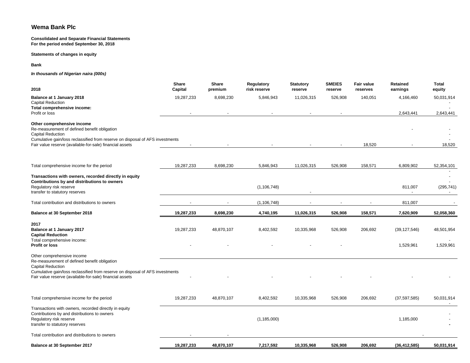**Consolidated and Separate Financial Statements For the period ended September 30, 2018**

### **Statements of changes in equity**

**Bank**

*In thousands of Nigerian naira (000s)*

| 2018                                                                                                                                                                                                                                                | <b>Share</b><br>Capital | Share<br>premium | <b>Regulatory</b><br>risk reserve | <b>Statutory</b><br>reserve | <b>SMEIES</b><br>reserve | <b>Fair value</b><br>reserves | <b>Retained</b><br>earnings | Total<br>equity         |
|-----------------------------------------------------------------------------------------------------------------------------------------------------------------------------------------------------------------------------------------------------|-------------------------|------------------|-----------------------------------|-----------------------------|--------------------------|-------------------------------|-----------------------------|-------------------------|
| Balance at 1 January 2018<br><b>Capital Reduction</b>                                                                                                                                                                                               | 19,287,233              | 8,698,230        | 5,846,943                         | 11,026,315                  | 526,908                  | 140,051                       | 4,166,460                   | 50,031,914              |
| Total comprehensive income:<br>Profit or loss                                                                                                                                                                                                       |                         |                  |                                   |                             |                          |                               | 2,643,441                   | 2,643,441               |
| Other comprehensive income<br>Re-measurement of defined benefit obligation<br><b>Capital Reduction</b>                                                                                                                                              |                         |                  |                                   |                             |                          |                               |                             |                         |
| Cumulative gain/loss reclassified from reserve on disposal of AFS investments<br>Fair value reserve (available-for-sale) financial assets                                                                                                           |                         |                  |                                   |                             |                          | 18,520                        |                             | 18,520                  |
| Total comprehensive income for the period                                                                                                                                                                                                           | 19,287,233              | 8,698,230        | 5,846,943                         | 11,026,315                  | 526,908                  | 158,571                       | 6,809,902                   | 52,354,101              |
| Transactions with owners, recorded directly in equity<br>Contributions by and distributions to owners<br>Regulatory risk reserve                                                                                                                    |                         |                  | (1, 106, 748)                     |                             |                          |                               | 811,007                     | (295, 741)<br>$\sim$    |
| transfer to statutory reserves<br>Total contribution and distributions to owners                                                                                                                                                                    |                         |                  | (1, 106, 748)                     |                             |                          |                               | 811,007                     |                         |
| Balance at 30 September 2018                                                                                                                                                                                                                        | 19,287,233              | 8,698,230        | 4,740,195                         | 11,026,315                  | 526,908                  | 158,571                       | 7,620,909                   | 52,058,360              |
| 2017<br>Balance at 1 January 2017<br><b>Capital Reduction</b><br>Total comprehensive income:<br><b>Profit or loss</b>                                                                                                                               | 19,287,233              | 48,870,107       | 8,402,592                         | 10,335,968                  | 526,908                  | 206,692                       | (39, 127, 546)<br>1,529,961 | 48,501,954<br>1,529,961 |
| Other comprehensive income<br>Re-measurement of defined benefit obligation<br><b>Capital Reduction</b><br>Cumulative gain/loss reclassified from reserve on disposal of AFS investments<br>Fair value reserve (available-for-sale) financial assets |                         |                  |                                   |                             |                          |                               |                             |                         |
| Total comprehensive income for the period                                                                                                                                                                                                           | 19,287,233              | 48,870,107       | 8,402,592                         | 10,335,968                  | 526,908                  | 206,692                       | (37, 597, 585)              | 50,031,914              |
| Transactions with owners, recorded directly in equity<br>Contributions by and distributions to owners<br>Regulatory risk reserve<br>transfer to statutory reserves                                                                                  |                         |                  | (1, 185, 000)                     |                             |                          |                               | 1,185,000                   |                         |
| Total contribution and distributions to owners                                                                                                                                                                                                      |                         |                  |                                   |                             |                          |                               |                             |                         |
| Balance at 30 September 2017                                                                                                                                                                                                                        | 19,287,233              | 48,870,107       | 7,217,592                         | 10,335,968                  | 526,908                  | 206,692                       | (36, 412, 585)              | 50,031,914              |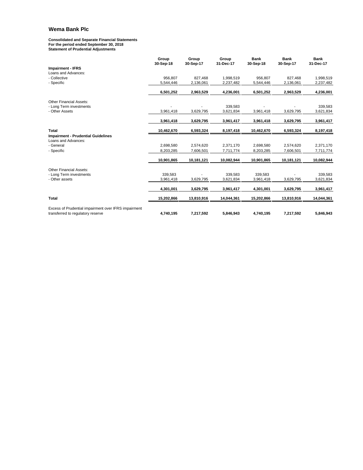#### **Consolidated and Separate Financial Statements For the period ended September 30, 2018 Statement of Prudential Adjustments**

|                                                                                           | Group<br>30-Sep-18 | Group<br>30-Sep-17 | Group<br>31-Dec-17 | <b>Bank</b><br>30-Sep-18 | <b>Bank</b><br>30-Sep-17 | <b>Bank</b><br>31-Dec-17 |
|-------------------------------------------------------------------------------------------|--------------------|--------------------|--------------------|--------------------------|--------------------------|--------------------------|
| <b>Impairment - IFRS</b>                                                                  |                    |                    |                    |                          |                          |                          |
| Loans and Advances:                                                                       |                    |                    |                    |                          |                          |                          |
| - Collective                                                                              | 956.807            | 827,468            | 1,998,519          | 956,807                  | 827,468                  | 1,998,519                |
| - Specific                                                                                | 5,544,446          | 2,136,061          | 2,237,482          | 5,544,446                | 2,136,061                | 2,237,482                |
|                                                                                           | 6,501,252          | 2,963,529          | 4,236,001          | 6,501,252                | 2,963,529                | 4,236,001                |
| <b>Other Financial Assets:</b>                                                            |                    |                    |                    |                          |                          |                          |
| - Long Term investments                                                                   |                    |                    | 339,583            |                          |                          | 339,583                  |
| - Other Assets                                                                            | 3,961,418          | 3,629,795          | 3,621,834          | 3,961,418                | 3,629,795                | 3,621,834                |
|                                                                                           | 3,961,418          | 3,629,795          | 3,961,417          | 3,961,418                | 3,629,795                | 3,961,417                |
| <b>Total</b>                                                                              | 10,462,670         | 6,593,324          | 8,197,418          | 10,462,670               | 6,593,324                | 8,197,418                |
| <b>Impairment - Prudential Guidelines</b><br>Loans and Advances:                          |                    |                    |                    |                          |                          |                          |
| - General                                                                                 | 2,698,580          | 2,574,620          | 2,371,170          | 2,698,580                | 2,574,620                | 2,371,170                |
| - Specific                                                                                | 8,203,285          | 7,606,501          | 7,711,774          | 8,203,285                | 7,606,501                | 7,711,774                |
|                                                                                           | 10,901,865         | 10,181,121         | 10,082,944         | 10,901,865               | 10,181,121               | 10,082,944               |
| <b>Other Financial Assets:</b>                                                            |                    |                    |                    |                          |                          |                          |
| - Long Term investments                                                                   | 339.583            |                    | 339.583            | 339.583                  |                          | 339.583                  |
| - Other assets                                                                            | 3,961,418          | 3,629,795          | 3,621,834          | 3,961,418                | 3,629,795                | 3,621,834                |
|                                                                                           | 4,301,001          | 3,629,795          | 3,961,417          | 4,301,001                | 3,629,795                | 3,961,417                |
| <b>Total</b>                                                                              | 15,202,866         | 13,810,916         | 14,044,361         | 15,202,866               | 13,810,916               | 14,044,361               |
| Excess of Prudential impairment over IFRS impairment<br>transferred to regulatory reserve | 4,740,195          | 7,217,592          | 5,846,943          | 4,740,195                | 7,217,592                | 5,846,943                |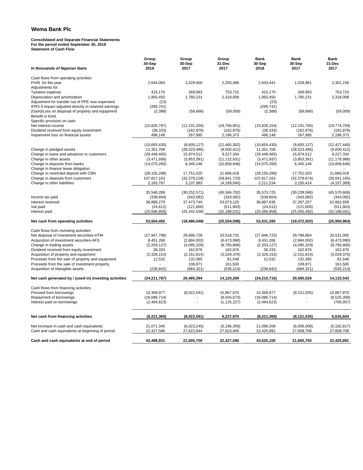#### **Consolidated and Separate Financial Statements For the period ended September 30, 2018 Statement of Cash Flow**

| In thousands of Nigerian Naira                                                    | Group<br>30-Sep<br>2018 | Group<br>30-Sep<br>2017 | Group<br>31-Dec<br>2017 | <b>Bank</b><br>30-Sep<br>2018 | <b>Bank</b><br>30-Sep<br>2017 | <b>Bank</b><br>31-Dec<br>2017 |
|-----------------------------------------------------------------------------------|-------------------------|-------------------------|-------------------------|-------------------------------|-------------------------------|-------------------------------|
|                                                                                   |                         |                         |                         |                               |                               |                               |
| Cash flows from operating activities<br>Profit for the year                       | 2,644,084               | 1,529,400               | 2,255,488               | 2,643,441                     | 1,529,961                     | 2,301,158                     |
| Adjustments for:                                                                  |                         |                         |                         |                               |                               |                               |
| <b>Taxation expense</b>                                                           | 415,170                 | 269,993                 | 753,715                 | 415,170                       | 269,993                       | 753,715                       |
| Depreciation and amortization                                                     | 1,950,450               | 1,780,231               | 2,318,008               | 1,950,450                     | 1,780,231                     | 2,318,008                     |
| Adjustment for transfer out of PPE now expensed                                   | (23)                    |                         |                         | (23)                          |                               |                               |
| IFRS 9 impact adjusted directly in retained earnings                              | (295, 741)              |                         |                         | (295, 741)                    |                               |                               |
| (Gain)/Loss on disposal of property and equipment                                 | (2,388)                 | (58,666)                | (59,059)                | (2,388)                       | (58, 666)                     | (59,059)                      |
| Benefit in Kind                                                                   |                         |                         |                         |                               |                               |                               |
| Specific provision on cash                                                        |                         |                         |                         |                               |                               |                               |
| Net interest income                                                               | (15,826,797)            | (12, 231, 204)          | (19,766,951)            | (15,826,154)                  | (12, 231, 765)                | (19, 774, 759)                |
| Dividend received from equity investment                                          | (38, 333)               | (162, 876)              | (162, 876)              | (38, 333)                     | (162, 876)                    | (162, 876)                    |
| Impairment loss on financial assets                                               | 498,148                 | 267,995                 | 2,196,373               | 498,148                       | 267,995                       | 2,196,373                     |
|                                                                                   |                         |                         |                         |                               |                               |                               |
|                                                                                   | (10,655,430)            | (8,605,127)             | (12, 465, 302)          | (10,655,430)                  | (8,605,127)                   | (12, 427, 440)                |
| Change in pledged assets                                                          | 11,351,708              | (28, 523, 485)          | (9,000,412)             | 11,351,708                    | (28, 523, 485)                | (9,000,412)                   |
| Change in loans and advances to customers                                         | (29, 448, 465)          | 15,874,512              | 9,227,334               | (29, 448, 465)                | 15,874,512                    | 9,227,334                     |
| Change in other assets                                                            | (3,471,936)             | (3,853,391)             | (11, 122, 931)          | (3,471,937)                   | (3,853,391)                   | (11, 178, 986)                |
| Change in deposits from banks                                                     | (14,075,260)            | 6,345,146               | (10, 858, 646)          | (14,075,260)                  | 6,345,146                     | (10,858,646)                  |
| Change in finance lease obligation                                                |                         | $\sim$                  |                         |                               |                               |                               |
| Change in restricted deposit with CBN                                             | (28, 155, 288)          | 17,751,020              | 21,666,018              | (28, 155, 288)                | 17,751,020                    | 21,666,018                    |
| Change in deposits from customers                                                 | 107,817,163             | (32, 379, 228)          | (28, 841, 723)          | 107,817,163                   | (32, 378, 674)                | (28, 841, 165)                |
| Change in other liabilities                                                       | 2,183,797               | 3,137,983               | (4, 189, 040)           | 2,211,234                     | 3,150,414                     | (4, 157, 309)                 |
|                                                                                   | 35,546,289              | (30, 252, 571)          | (45, 584, 702)          | 35,573,725                    | (30, 239, 586)                | (45,570,606)                  |
| Income tax paid                                                                   | (338, 604)              | (343,082)               | (343,082)               | (338, 604)                    | (343,082)                     | (343,082)                     |
| Interest received                                                                 | 38,888,279              | 37,473,740              | 53,073,120              | 38,887,636                    | 37,287,257                    | 52,662,658                    |
| Vat paid                                                                          | (24, 612)               | (121,600)               | (511,903)               | (24, 612)                     | (121,600)                     | (511, 903)                    |
| Interest paid                                                                     | (20, 566, 859)          | (25, 242, 536)          | (32, 188, 031)          | (20, 566, 859)                | (25,055,492)                  | (32, 188, 031)                |
| Net cash from operating activities                                                | 53,504,492              | (18, 486, 048)          | (25, 554, 598)          | 53,531,285                    | (18, 472, 502)                | (25,950,964)                  |
|                                                                                   |                         |                         |                         |                               |                               |                               |
| Cash flows from investing activities<br>Net disposal of investment securities-HTM | (27, 947, 796)          | 29,696,728              | 33,518,731              | (27, 946, 725)                | 29,796,864                    | 33,531,005                    |
| Acquisition of investment securities-AFS                                          | 8,451,266               | (2,684,002)             | (6,473,990)             | 8,451,266                     | (2,684,002)                   | (6,473,990)                   |
| Change in trading assets                                                          | (2,203,127)             | (4,095,329)             | (9,765,806)             | (2,203,127)                   | (4,095,329)                   | (9,765,806)                   |
| Dividend received from equity investment                                          | 38,333                  | 162,876                 | 162,876                 | 38,333                        | 162,876                       | 162,876                       |
| Acquisition of property and equipment                                             | (2,326,153)             | (2, 151, 814)           | (3,029,376)             | (2,326,153)                   | (2, 151, 814)                 | (3,029,376)                   |
| Proceeds from the sale of property and equipment                                  | 12,532                  | 132,385                 | 81,548                  | 12,532                        | 132,385                       | 81,548                        |
| Proceeds from the sale of investment property                                     |                         | 108,871                 | 161,500                 |                               | 108,871                       | 161,500                       |
| Acquisition of intangible assets                                                  | (236, 842)              | (684, 321)              | (535, 214)              | (236, 842)                    | (684, 321)                    | (535, 214)                    |
| Net cash generated by / (used in) investing activities                            | (24, 211, 787)          | 20.485.394              | 14.120.269              | (24, 210, 716)                | 20.585.529                    | 14,132,543                    |
|                                                                                   |                         |                         |                         |                               |                               |                               |
| Cash flows from financing activities                                              |                         |                         |                         |                               |                               |                               |
| Proceed from borrowings                                                           | 10,359,977              | (8,022,591)             | 15,867,870              | 10,359,977                    | (8, 121, 035)                 | 15,867,870                    |
| Repayment of borrowings                                                           | (16,086,714)            |                         | (8,504,673)             | (16,086,714)                  |                               | (8,525,309)                   |
| Interest paid on borrowings                                                       | (2,494,623)             |                         | (1, 125, 227)           | (2,494,623)                   |                               | (706, 957)                    |
| Net cash from financing activities                                                | (8,221,360)             | (8,022,591)             | 6,237,970               | (8,221,360)                   | (8, 121, 035)                 | 6,635,604                     |
| Net increase in cash and cash equivalents                                         | 21,071,345              | (6,023,245)             | (5, 196, 359)           | 21,099,209                    | (6,008,008)                   | (5, 182, 817)                 |
| Cash and cash equivalents at beginning of period                                  | 22,427,586              | 27,623,944              | 27,623,945              | 22,425,891                    | 27,608,708                    | 27,608,708                    |
|                                                                                   |                         |                         |                         |                               |                               |                               |
| Cash and cash equivalents at end of period                                        | 43,498,931              | 21,600,700              | 22,427,586              | 43,525,100                    | 21,600,700                    | 22,425,891                    |
|                                                                                   |                         |                         |                         |                               |                               |                               |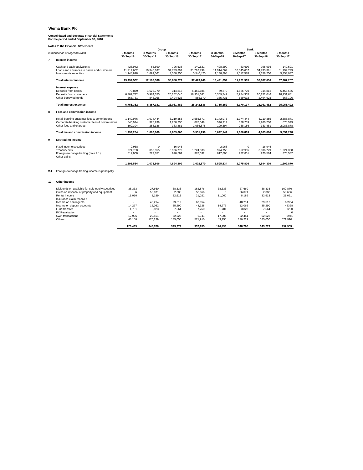**Consolidated and Separate Financial Statements For the period ended September 30, 2018**

| 3 Months<br>3 Months<br>9 Months<br>9 Months<br>3 Months<br>3 Months<br>In thousands of Nigerian Naira<br>30-Sep-18<br>30-Sep-17<br>30-Sep-18<br>30-Sep-17<br>30-Sep-18<br>30-Sep-17 | 9 Months<br>30-Sep-18 | 9 Months<br>30-Sep-17 |
|--------------------------------------------------------------------------------------------------------------------------------------------------------------------------------------|-----------------------|-----------------------|
| $\overline{7}$<br>Interest income                                                                                                                                                    |                       |                       |
| 428.942<br>63.690<br>796,638<br>140,521<br>428.299<br>63.690<br>Cash and cash equivalents                                                                                            | 795.995               | 140,521               |
| 10.345.637<br>31.792.799<br>11,914,662<br>10.345.637<br>Loans and advances to banks and customers<br>11,914,662<br>34,733,391                                                        | 34,733,391            | 31,792,799            |
| 1,699,061<br>Investments securities<br>1,148,898<br>3,358,250<br>5,540,420<br>1,148,898<br>1,512,578                                                                                 | 3,358,250             | 5,353,937             |
| <b>Total interest income</b><br>13,492,502<br>12,108,388<br>38,888,279<br>37,473,740<br>13,491,859<br>11,921,905                                                                     | 38,887,636            | 37,287,257            |
| <b>Interest expense</b>                                                                                                                                                              |                       |                       |
| 79.879<br>1.526.770<br>Deposits from banks<br>314.813<br>5.455.685<br>79.879<br>1.526.770                                                                                            | 314.813               | 5.455.685             |
| 6.309.742<br>5.984.355<br>Deposits from customers<br>20,252,046<br>18.931.681<br>6,309,742<br>5,984,355                                                                              | 20.252.046            | 18,931,681            |
| Other borrowed funds<br>365.731<br>846.056<br>2.494.623<br>855.170<br>365.731<br>659.012                                                                                             | 2.494.623             | 668.126               |
| <b>Total interest expense</b><br>6,755,352<br>8,357,181<br>23,061,482<br>25,242,536<br>6,755,352<br>8,170,137                                                                        | 23,061,482            | 25,055,492            |
| 8<br>Fees and commission income                                                                                                                                                      |                       |                       |
| Retail banking customer fees & commissions<br>1,142,976<br>1,074,444<br>3,219,355<br>2,585,871<br>1,142,976<br>1,074,444                                                             | 3,219,355             | 2.585.871             |
| Corporate banking customer fees & commissions<br>546,914<br>328.239<br>1,200,230<br>878.549<br>546,914<br>328,239                                                                    | 1,200,230             | 878,549               |
| Other fees and charges<br>109,394<br>258,186<br>383.481<br>2,086,878<br>109,394<br>258,186                                                                                           | 383.481               | 2,086,878             |
| Total fee and commission income<br>1,799,284<br>1,660,869<br>4,803,066<br>5,551,298<br>5,642,142<br>1,660,869                                                                        | 4,803,066             | 5,551,298             |
| 9<br>Net trading income                                                                                                                                                              |                       |                       |
| 2.968<br>$\Omega$<br>2.968<br>Fixed income securities<br>16.946                                                                                                                      | $\Omega$<br>16.946    |                       |
| 974.758<br>852.955<br>3.906.779<br>1.224.338<br>974.758<br>852.955<br><b>Treasury bills</b>                                                                                          | 3.906.779             | 1.224.338             |
| Foreign exchange trading (note 9.1)<br>617,808<br>222,851<br>970,584<br>378,532<br>617,808<br>222,851                                                                                | 970,584               | 378,532               |
| Other gains                                                                                                                                                                          |                       |                       |
| 1,595,534<br>1,075,806<br>1,602,870<br>1,595,534<br>1,075,806<br>4,894,309                                                                                                           | 4,894,309             | 1,602,870             |
| 9.1<br>Foreign exchange trading income is principally                                                                                                                                |                       |                       |
| 10<br>Other income                                                                                                                                                                   |                       |                       |
| 162.876<br>Dividends on available-for-sale equity securities<br>38.333<br>27,660<br>38.333<br>38.333<br>27,660                                                                       | 38.333                | 162.876               |
| Gains on disposal of property and equipment<br>56.071<br>2.388<br>58.666<br>56.071<br>6<br>6                                                                                         | 2.388                 | 58.666                |
| Rental income<br>11,060<br>8,189<br>32,613<br>21,021<br>11,060<br>8,189                                                                                                              | 32,613                | 21,021                |
| Insurance claim received<br>$\bar{\phantom{a}}$<br>$\sim$<br>÷                                                                                                                       | $\sim$                | ÷.                    |
| 48.214<br>29.512<br>60.954<br>48.214<br>Income on contingents                                                                                                                        | 29.512                | 60954                 |
| Income on deposit accounts<br>14.277<br>12.062<br>35,290<br>48,328<br>14.277<br>12.062                                                                                               | 35,290                | 48328                 |
| Fund transfer<br>1.701<br>3.823<br>7,564<br>7,260<br>1.701<br>3.823                                                                                                                  | 7,564                 | 7260                  |
| <b>FX Revaluation</b><br>$\sim$                                                                                                                                                      |                       | $\Omega$              |
| 52.523<br>17,906<br>22.451<br>6,941<br>17,906<br>22,451<br>Swift transactions                                                                                                        | 52.523                | 6941                  |
| Others<br>43,150<br>170,229<br>145,056<br>571,910<br>43,150<br>170,229<br>$\sim$                                                                                                     | 145,056               | 571,910               |
| 126,433<br>348,700<br>343,279<br>348,700<br>937,955<br>126,433                                                                                                                       | 343,279               | 937,955               |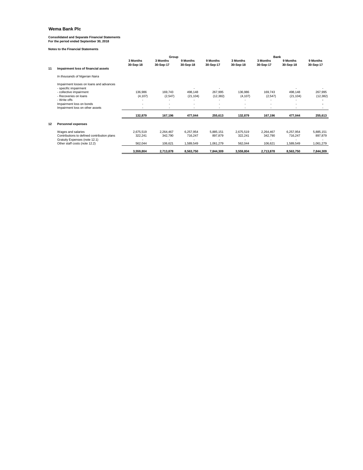### **Consolidated and Separate Financial Statements For the period ended September 30, 2018**

|    |                                                                              |                       | Group                    |                       |                          | <b>Bank</b>           |                       |                       |                       |  |  |
|----|------------------------------------------------------------------------------|-----------------------|--------------------------|-----------------------|--------------------------|-----------------------|-----------------------|-----------------------|-----------------------|--|--|
|    |                                                                              | 3 Months<br>30-Sep-18 | 3 Months<br>30-Sep-17    | 9 Months<br>30-Sep-18 | 9 Months<br>30-Sep-17    | 3 Months<br>30-Sep-18 | 3 Months<br>30-Sep-17 | 9 Months<br>30-Sep-18 | 9 Months<br>30-Sep-17 |  |  |
| 11 | Impairment loss of financial assets                                          |                       |                          |                       |                          |                       |                       |                       |                       |  |  |
|    | In thousands of Nigerian Naira                                               |                       |                          |                       |                          |                       |                       |                       |                       |  |  |
|    | Impairment losses on loans and advances<br>- specific impairment             |                       |                          |                       | $\overline{\phantom{a}}$ |                       |                       |                       |                       |  |  |
|    | - collective impairment                                                      | 136,986               | 169.743                  | 498.148               | 267,995                  | 136,986               | 169,743               | 498,148               | 267,995               |  |  |
|    | - Recoveries on loans                                                        | (4, 107)              | (2,547)                  | (21, 104)             | (12, 382)                | (4, 107)              | (2,547)               | (21, 104)             | (12, 382)             |  |  |
|    | - Write offs                                                                 |                       |                          |                       |                          | ٠                     |                       |                       |                       |  |  |
|    | Impairment loss on bonds                                                     |                       | $\overline{\phantom{a}}$ | ٠                     | ٠                        | ٠                     | ٠                     |                       |                       |  |  |
|    | Impairment loss on other assets                                              |                       |                          |                       |                          |                       |                       |                       |                       |  |  |
|    |                                                                              | 132,879               | 167,196                  | 477,044               | 255,613                  | 132,879               | 167,196               | 477,044               | 255,613               |  |  |
| 12 | <b>Personnel expenses</b>                                                    |                       |                          |                       |                          |                       |                       |                       |                       |  |  |
|    | Wages and salaries                                                           | 2,675,519             | 2,264,467                | 6,257,954             | 5,885,151                | 2,675,519             | 2,264,467             | 6,257,954             | 5,885,151             |  |  |
|    | Contributions to defined contribution plans<br>Gratuity Expenses (note 12.1) | 322,241               | 342,790                  | 716,247               | 897,879                  | 322,241               | 342,790               | 716,247               | 897,879               |  |  |
|    | Other staff costs (note 12.2)                                                | 562,044               | 106,621                  | 1,589,549             | 1,061,279                | 562,044               | 106,621               | 1,589,549             | 1,061,279             |  |  |
|    |                                                                              | 3,559,804             | 2,713,878                | 8,563,750             | 7,844,309                | 3,559,804             | 2,713,878             | 8,563,750             | 7,844,309             |  |  |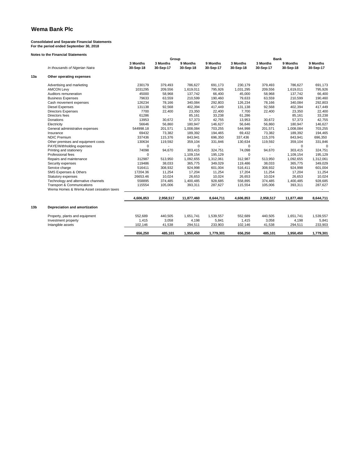### **Consolidated and Separate Financial Statements For the period ended September 30, 2018**

|                 |                                         |                       | Group                 |                          |                       | Bank                  |                       |                       |                       |  |
|-----------------|-----------------------------------------|-----------------------|-----------------------|--------------------------|-----------------------|-----------------------|-----------------------|-----------------------|-----------------------|--|
|                 | In thousands of Nigerian Naira          | 3 Months<br>30-Sep-18 | 3 Months<br>30-Sep-17 | 9 Months<br>30-Sep-18    | 9 Months<br>30-Sep-17 | 3 Months<br>30-Sep-18 | 3 Months<br>30-Sep-17 | 9 Months<br>30-Sep-18 | 9 Months<br>30-Sep-17 |  |
| 13a             | Other operating expenses                |                       |                       |                          |                       |                       |                       |                       |                       |  |
|                 | Advertising and marketing               | 230179                | 379,493               | 786,627                  | 691,173               | 230,179               | 379,493               | 786,627               | 691,173               |  |
|                 | <b>AMCON Levy</b>                       | 1031295               | 209,556               | 1,619,011                | 795,926               | 1,031,295             | 209,556               | 1,619,011             | 795,926               |  |
|                 | Auditors remuneration                   | 45000                 | 58,968                | 137,742                  | 66,400                | 45,000                | 58,968                | 137,742               | 66,400                |  |
|                 | <b>Business Expenses</b>                | 79633                 | 63,559                | 210,599                  | 190,460               | 79,633                | 63,559                | 210,599               | 190,460               |  |
|                 | Cash movement expenses                  | 126234                | 78,166                | 340,084                  | 292,803               | 126,234               | 78,166                | 340,084               | 292,803               |  |
|                 | <b>Diesel Expenses</b>                  | 131138                | 92,568                | 402,394                  | 417,449               | 131,138               | 92,568                | 402,394               | 417,449               |  |
|                 | <b>Directors Expenses</b>               | 7700                  | 22,400                | 23,350                   | 22,400                | 7,700                 | 22,400                | 23,350                | 22,400                |  |
|                 | Directors fees                          | 61286                 | $\sim$                | 85,161                   | 33,238                | 61,286                |                       | 85,161                | 33,238                |  |
|                 | Donations                               | 13953                 | 30,672                | 57,373                   | 42,755                | 13,953                | 30,672                | 57,373                | 42,755                |  |
|                 | Electricity                             | 56646                 | 56,860                | 180,947                  | 146,627               | 56,646                | 56,860                | 180,947               | 146,627               |  |
|                 | General administrative expenses         | 544998.18             | 201,571               | 1.008.084                | 703,255               | 544,998               | 201,571               | 1,008,084             | 703,255               |  |
|                 | Insurance                               | 69432                 | 73,382                | 189,392                  | 194,465               | 69,432                | 73,382                | 189,392               | 194,465               |  |
|                 | <b>NDIC Premium</b>                     | 337436                | 115,376               | 843,941                  | 696,350               | 337,436               | 115,376               | 843,941               | 696,350               |  |
|                 | Other premises and equipment costs      | 130634                | 119,592               | 359,104                  | 331,846               | 130,634               | 119,592               | 359,104               | 331,846               |  |
|                 | PAYE/Withholding expenses               | $\Omega$              |                       | $\Omega$                 |                       | $\Omega$              |                       | $\Omega$              | $\Omega$              |  |
|                 | Printing and stationery                 | 74098                 | 94,670                | 303,415                  | 324,751               | 74,098                | 94,670                | 303,415               | 324,751               |  |
|                 | Professional fees                       | 0                     |                       | 1,109,154                | 195.129               | $\Omega$              |                       | 1,109,154             | 195,129               |  |
|                 | Repairs and maintenance                 | 312987                | 513,950               | 1,092,655                | 1,312,061             | 312,987               | 513,950               | 1,092,655             | 1,312,061             |  |
|                 | Security expenses                       | 119486                | 38,033                | 365,775                  | 349,029               | 119,486               | 38,033                | 365,775               | 349,029               |  |
|                 | Service charge                          | 516411                | 308,932               | 924,998                  | 601,004               | 516,411               | 308,932               | 924,998               | 601,004               |  |
|                 | SMS Expenses & Others                   | 17204.36              | 11,254                | 17,204                   | 11,254                | 17,204                | 11,254                | 17,204                | 11,254                |  |
|                 | Statutory expenses                      | 26653.46              | 10,024                | 26,653                   | 10,024                | 26,653                | 10,024                | 26,653                | 10,024                |  |
|                 | Technology and alternative channels     | 558895                | 374,485               | 1,400,485                | 928,685               | 558,895               | 374,485               | 1,400,485             | 928,685               |  |
|                 | <b>Transport &amp; Communications</b>   | 115554                | 105,006               | 393,311                  | 287,627               | 115,554               | 105,006               | 393,311               | 287,627               |  |
|                 | Wema Homes & Wema Asset cessation taxes | $\omega$              |                       | $\overline{\phantom{a}}$ | $\sim$                | $\sim$                | $\sim$                | $\blacksquare$        | $\sim$                |  |
|                 |                                         | 4,606,853             | 2,958,517             | 11,877,460               | 8,644,711             | 4,606,853             | 2,958,517             | 11,877,460            | 8,644,711             |  |
| 13 <sub>b</sub> | Depreciation and amortization           |                       |                       |                          |                       |                       |                       |                       |                       |  |
|                 | Property, plants and equipment          | 552,689               | 440,505               | 1,651,741                | 1,539,557             | 552,689               | 440,505               | 1,651,741             | 1,539,557             |  |
|                 | Investment property                     | 1,415                 | 3,058                 | 4,198                    | 5,841                 | 1,415                 | 3,058                 | 4,198                 | 5,841                 |  |
|                 | Intangible assets                       | 102,146               | 41,538                | 294,511                  | 233,903               | 102,146               | 41,538                | 294,511               | 233,903               |  |
|                 |                                         | 656,250               | 485.101               | 1,950,450                | 1,779,301             | 656,250               | 485.101               | 1,950,450             | 1,779,301             |  |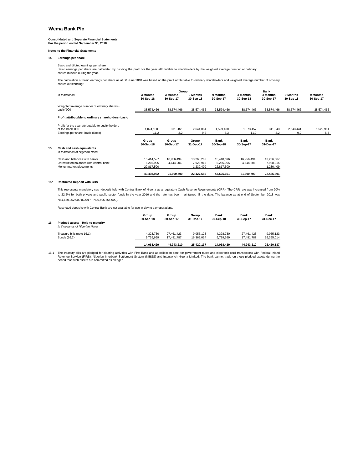### **Consolidated and Separate Financial Statements For the period ended September 30, 2018**

**Notes to the Financial Statements**

#### **14 Earnings per share**

Basic and diluted earnings per share Basic earnings per share are calculated by dividing the profit for the year attributable to shareholders by the weighted average number of ordinary shares in issue during the year.

The calculation of basic earnings per share as at 30 June 2018 was based on the profit attributable to ordinary shareholders and weighted average number of ordinary shares outstanding :

|    | In thousands                                                                                               | 3 Months<br>30-Sep-18                 | Group<br>3 Months<br>30-Sep-17 | 9 Months<br>30-Sep-18               | 9 Months<br>30-Sep-17                 | 3 Months<br>30-Sep-18    | Bank<br>3 Months<br>30-Sep-17        | 9 Months<br>30-Sep-18 | 9 Months<br>30-Sep-17 |
|----|------------------------------------------------------------------------------------------------------------|---------------------------------------|--------------------------------|-------------------------------------|---------------------------------------|--------------------------|--------------------------------------|-----------------------|-----------------------|
|    | Weighted average number of ordinary shares -<br>basic:'000                                                 | 38,574,466                            | 38,574,466                     | 38,574,466                          | 38,574,466                            | 38,574,466               | 38,574,466                           | 38,574,466            | 38,574,466            |
|    | Profit attributable to ordinary shareholders -basic                                                        |                                       |                                |                                     |                                       |                          |                                      |                       |                       |
|    | Profit for the year attributable to equity holders<br>of the Bank '000<br>Earnings per share -basic (Kobo) | 1,074,100<br>11.2                     | 311.282<br>3.2                 | 2.644.084<br>9.2                    | 1,529,400<br>5.3                      | 1,073,457<br>11.2        | 311.843<br>3.2                       | 2,643,441<br>9.2      | 1,529,961<br>5.3      |
|    |                                                                                                            | Group<br>30-Sep-18                    | Group<br>30-Sep-17             | Group<br>31-Dec-17                  | <b>Bank</b><br>30-Sep-18              | <b>Bank</b><br>30-Sep-17 | <b>Bank</b><br>31-Dec-17             |                       |                       |
| 15 | Cash and cash equivalents<br>In thousands of Nigerian Naira                                                |                                       |                                |                                     |                                       |                          |                                      |                       |                       |
|    | Cash and balances with banks<br>Unrestricted balances with central bank<br>Money market placements         | 15,414,527<br>5,266,905<br>22.817.500 | 16,956,494<br>4,644,206        | 13,268,262<br>7,928,915<br>,230,409 | 15,440,696<br>5,266,905<br>22,817,500 | 16,956,494<br>4,644,206  | 13,266,567<br>7,928,915<br>1,230,409 |                       |                       |
|    |                                                                                                            | 43,498,932                            | 21,600,700                     | 22,427,586                          | 43,525,101                            | 21,600,700               | 22,425,891                           |                       |                       |

#### **15b Restricted Deposit with CBN**

This represents mandatory cash deposit held with Central Bank of Nigeria as a regulatory Cash Reserve Requirements (CRR). The CRR rate was increased from 20% to 22.5% for both private and public sector funds in the year 2016 and the rate has been maintained till the date. The balance as at end of September 2018 was N54,650,952,000 (N2017 - N26,495,664,000).

Restricted deposits with Central Bank are not available for use in day to day operations.

|    |                                                                     | Group<br>30-Sep-18 | Group<br>30-Sep-17 | Group<br>31-Dec-17 | <b>Bank</b><br>30-Sep-18 | <b>Bank</b><br>30-Sep-17 | <b>Bank</b><br>31-Dec-17 |
|----|---------------------------------------------------------------------|--------------------|--------------------|--------------------|--------------------------|--------------------------|--------------------------|
| 16 | Pledged assets - Held to maturity<br>In thousands of Nigerian Naira |                    |                    |                    |                          |                          |                          |
|    | Treasury bills (note 16.1)                                          | 4.328.730          | 27.461.423         | 9.055.123          | 4.328.730                | 27.461.423               | 9.055.123                |
|    | Bonds (16.2)                                                        | 9.739.699          | 17.481.787         | 16.365.014         | 9.739.699                | 17.481.787               | 16.365.014               |
|    |                                                                     | 14.068.429         | 44.943.210         | 25.420.137         | 14.068.429               | 44.943.210               | 25.420.137               |

16.1 The treasury bills are pledged for clearing activities with First Bank and as collection bank for government taxes and electronic card transactions with Federal Inland Revenue Service (FIRS), Nigerian Interbank Settlement System (NIBSS) and Interswitch Nigeria Limited. The bank cannot trade on these pledged assets during the period that such assets are committed as pledged.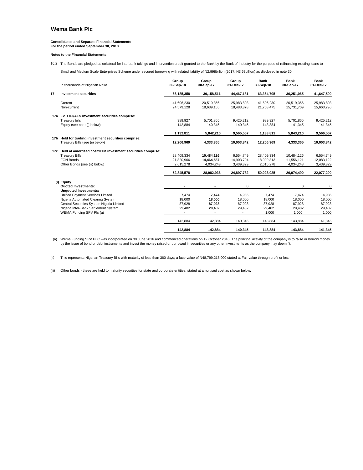### **Consolidated and Separate Financial Statements For the period ended September 30, 2018**

#### **Notes to the Financial Statements**

16.2 The Bonds are pledged as collateral for interbank takings and intervention credit granted to the Bank by the Bank of Industry for the purpose of refinancing existing loans to

Small and Medium Scale Enterprises Scheme under secured borrowing with related liability of N2.998billion (2017: N3.63billion) as disclosed in note 30.

|    | In thousands of Nigerian Naira                                                                                                                                                         | Group<br>30-Sep-18                    | Group<br>30-Sep-17                    | Group<br>31-Dec-17                   | <b>Bank</b><br>30-Sep-18                     | <b>Bank</b><br>30-Sep-17                     | <b>Bank</b><br>31-Dec-17                     |
|----|----------------------------------------------------------------------------------------------------------------------------------------------------------------------------------------|---------------------------------------|---------------------------------------|--------------------------------------|----------------------------------------------|----------------------------------------------|----------------------------------------------|
| 17 | <b>Investment securities</b>                                                                                                                                                           | 66,185,358                            | 39,158,511                            | 44,467,181                           | 63,364,705                                   | 36,251,065                                   | 41,647,599                                   |
|    | Current<br>Non-current                                                                                                                                                                 | 41,606,230<br>24,579,128              | 20,519,356<br>18,639,155              | 25,983,803<br>18,483,378             | 41,606,230<br>21,758,475                     | 20,519,356<br>15,731,709                     | 25,983,803<br>15,663,796                     |
|    | 17a FVTOCI/AFS investment securities comprise:<br>Treasury bills<br>Equity (see note (i) below)                                                                                        | 989,927<br>142,884                    | 5,701,865<br>140,345                  | 9,425,212<br>140,345                 | 989,927<br>143,884                           | 5,701,865<br>141,345                         | 9,425,212<br>141,345                         |
|    |                                                                                                                                                                                        | 1,132,811                             | 5,842,210                             | 9,565,557                            | 1,133,811                                    | 5,843,210                                    | 9,566,557                                    |
|    | 17b Held for trading investment securities comprise:<br>Treasury Bills (see (ii) below)                                                                                                | 12.206.969                            | 4,333,365                             | 10.003.842                           | 12,206,969                                   | 4,333,365                                    | 10,003,842                                   |
|    | 17c Held at amortised cost/HTM investment securities comprise:<br><b>Treasury Bills</b><br><b>FGN Bonds</b><br>Other Bonds (see (iii) below)                                           | 28,409,334<br>21,820,966<br>2,615,278 | 10,484,126<br>14,464,567<br>4,034,243 | 6.554.749<br>14,903,704<br>3,439,329 | 28,409,334<br>18,999,313<br>2,615,278        | 10,484,126<br>11,556,121<br>4,034,243        | 6,554,749<br>12,083,122<br>3,439,329         |
|    |                                                                                                                                                                                        | 52,845,578                            | 28,982,936                            | 24,897,782                           | 50,023,925                                   | 26,074,490                                   | 22,077,200                                   |
|    | (i) Equity<br><b>Quoted Investments:</b><br><b>Unauoted Investments:</b>                                                                                                               | $\overline{\phantom{a}}$              | $\blacksquare$                        | 0                                    |                                              | $\Omega$                                     | 0                                            |
|    | Unified Payment Services Limited<br>Nigeria Automated Clearing System<br>Central Securities System Nigeria Limited<br>Nigeria Inter-Bank Settlement System<br>WEMA Funding SPV Plc (a) | 7,474<br>18.000<br>87,928<br>29,482   | 7,474<br>18.000<br>87,928<br>29,482   | 4,935<br>18,000<br>87,928<br>29,482  | 7.474<br>18.000<br>87,928<br>29,482<br>1,000 | 7,474<br>18.000<br>87,928<br>29,482<br>1,000 | 4,935<br>18.000<br>87,928<br>29,482<br>1,000 |
|    |                                                                                                                                                                                        | 142,884                               | 142,884                               | 140,345                              | 143,884                                      | 143,884                                      | 141,345                                      |
|    |                                                                                                                                                                                        | 142,884                               | 142,884                               | 140,345                              | 143,884                                      | 143,884                                      | 141,345                                      |

(a) Wema Funding SPV PLC was incorporated on 30 June 2016 and commenced operations on 12 October 2016. The principal activity of the company is to raise or borrow money<br>by the issue of bond or debt instruments and invest t

(ii) This represents Nigerian Treasury Bills with maturity of less than 360 days; a face value of N48,799,218,000 stated at Fair value through profit or loss.

(iii) Other bonds - these are held to maturity securities for state and corporate entities, stated at amortised cost as shown below: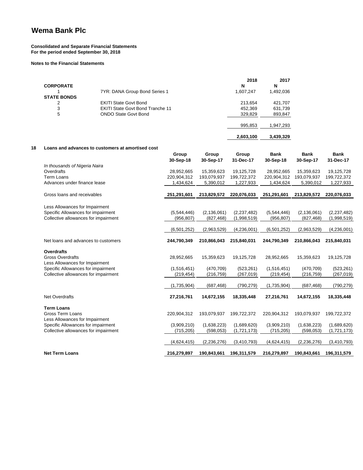### **Consolidated and Separate Financial Statements For the period ended September 30, 2018**

#### **Notes to the Financial Statements**

|                    |                                         | 2018      | 2017      |
|--------------------|-----------------------------------------|-----------|-----------|
| <b>CORPORATE</b>   |                                         | N         | N         |
|                    | 7YR: DANA Group Bond Series 1           | 1,607,247 | 1,492,036 |
| <b>STATE BONDS</b> |                                         |           |           |
| 2                  | <b>EKITI State Govt Bond</b>            | 213,654   | 421,707   |
| 3                  | <b>EKITI State Govt Bond Tranche 11</b> | 452,369   | 631,739   |
| 5                  | <b>ONDO State Govt Bond</b>             | 329.829   | 893,847   |
|                    |                                         | 995,853   | 1,947,293 |
|                    |                                         | 2,603,100 | 3,439,329 |

#### **18 Loans and advances to customers at amortised cost**

|                                      | Group         | Group         | Group         | Bank        | <b>Bank</b>   | <b>Bank</b>   |
|--------------------------------------|---------------|---------------|---------------|-------------|---------------|---------------|
|                                      | 30-Sep-18     | 30-Sep-17     | 31-Dec-17     | 30-Sep-18   | 30-Sep-17     | 31-Dec-17     |
| In thousands of Nigeria Naira        |               |               |               |             |               |               |
| Overdrafts                           | 28,952,665    | 15,359,623    | 19,125,728    | 28,952,665  | 15,359,623    | 19,125,728    |
| <b>Term Loans</b>                    | 220,904,312   | 193,079,937   | 199,722,372   | 220,904,312 | 193,079,937   | 199,722,372   |
| Advances under finance lease         | 1,434,624     | 5,390,012     | 1,227,933     | 1,434,624   | 5,390,012     | 1,227,933     |
| Gross loans and receivables          | 251,291,601   | 213,829,572   | 220,076,033   | 251,291,601 | 213,829,572   | 220,076,033   |
| Less Allowances for Impairment       |               |               |               |             |               |               |
| Specific Allowances for impairment   | (5,544,446)   | (2, 136, 061) | (2, 237, 482) | (5,544,446) | (2, 136, 061) | (2, 237, 482) |
| Collective allowances for impairment | (956, 807)    | (827, 468)    | (1,998,519)   | (956, 807)  | (827, 468)    | (1,998,519)   |
|                                      | (6, 501, 252) | (2,963,529)   | (4,236,001)   | (6,501,252) | (2,963,529)   | (4,236,001)   |
| Net loans and advances to customers  | 244,790,349   | 210,866,043   | 215,840,031   | 244,790,349 | 210,866,043   | 215,840,031   |
| <b>Overdrafts</b>                    |               |               |               |             |               |               |
| <b>Gross Overdrafts</b>              | 28,952,665    | 15,359,623    | 19,125,728    | 28,952,665  | 15,359,623    | 19,125,728    |
| Less Allowances for Impairment       |               |               |               |             |               |               |
| Specific Allowances for impairment   | (1,516,451)   | (470, 709)    | (523, 261)    | (1,516,451) | (470, 709)    | (523, 261)    |
| Collective allowances for impairment | (219, 454)    | (216, 759)    | (267, 019)    | (219, 454)  | (216, 759)    | (267, 019)    |
|                                      | (1,735,904)   | (687, 468)    | (790, 279)    | (1,735,904) | (687, 468)    | (790, 279)    |
| <b>Net Overdrafts</b>                | 27,216,761    | 14,672,155    | 18,335,448    | 27,216,761  | 14,672,155    | 18,335,448    |
|                                      |               |               |               |             |               |               |
| <b>Term Loans</b>                    |               |               |               |             |               |               |
| <b>Gross Term Loans</b>              | 220,904,312   | 193,079,937   | 199,722,372   | 220,904,312 | 193,079,937   | 199,722,372   |
| Less Allowances for Impairment       |               |               |               |             |               |               |
| Specific Allowances for impairment   | (3,909,210)   | (1,638,223)   | (1,689,620)   | (3,909,210) | (1,638,223)   | (1,689,620)   |
| Collective allowances for impairment | (715, 205)    | (598, 053)    | (1,721,173)   | (715, 205)  | (598, 053)    | (1,721,173)   |
|                                      | (4,624,415)   | (2, 236, 276) | (3,410,793)   | (4,624,415) | (2, 236, 276) | (3,410,793)   |
| <b>Net Term Loans</b>                | 216,279,897   | 190,843,661   | 196,311,579   | 216,279,897 | 190,843,661   | 196,311,579   |
|                                      |               |               |               |             |               |               |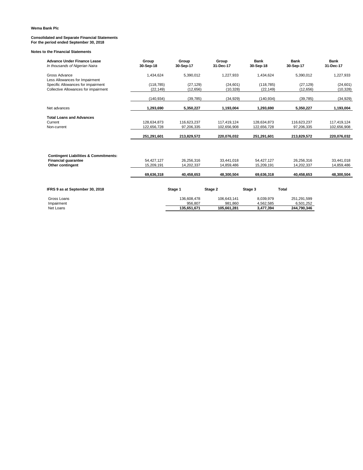## **Consolidated and Separate Financial Statements For the period ended September 30, 2018**

| <b>Advance Under Finance Lease</b><br>In thousands of Nigerian Naira | Group<br>30-Sep-18 | Group<br>30-Sep-17 | Group<br>31-Dec-17 | <b>Bank</b><br>30-Sep-18 | <b>Bank</b><br>30-Sep-17 | <b>Bank</b><br>31-Dec-17 |
|----------------------------------------------------------------------|--------------------|--------------------|--------------------|--------------------------|--------------------------|--------------------------|
| Gross Advance<br>Less Allowances for Impairment                      | 1,434,624          | 5,390,012          | 1,227,933          | 1,434,624                | 5,390,012                | 1,227,933                |
| Specific Allowances for impairment                                   | (118, 785)         | (27, 129)          | (24, 601)          | (118, 785)               | (27, 129)                | (24, 601)                |
| Collective Allowances for impairment                                 | (22, 149)          | (12, 656)          | (10, 328)          | (22, 149)                | (12, 656)                | (10, 328)                |
|                                                                      | (140, 934)         | (39, 785)          | (34, 929)          | (140, 934)               | (39, 785)                | (34, 929)                |
| Net advances                                                         | 1,293,690          | 5,350,227          | 1,193,004          | 1,293,690                | 5,350,227                | 1,193,004                |
| <b>Total Loans and Advances</b>                                      |                    |                    |                    |                          |                          |                          |
| Current                                                              | 128.634.873        | 116.623.237        | 117.419.124        | 128.634.873              | 116.623.237              | 117.419.124              |
| Non-current                                                          | 122,656,728        | 97,206,335         | 102,656,908        | 122,656,728              | 97,206,335               | 102,656,908              |
|                                                                      | 251,291,601        | 213,829,572        | 220.076.032        | 251,291,601              | 213,829,572              | 220,076,032              |
| <b>Contingent Liabilities &amp; Commitments:</b>                     |                    |                    |                    |                          |                          |                          |
| <b>Financial guarantee</b>                                           | 54,427,127         | 26,256,316         | 33,441,018         | 54,427,127               | 26,256,316               | 33,441,018               |
| Other contingent                                                     | 15,209,191         | 14,202,337         | 14,859,486         | 15,209,191               | 14,202,337               | 14,859,486               |
|                                                                      | 69,636,318         | 40,458,653         | 48,300,504         | 69,636,318               | 40,458,653               | 48,300,504               |
| IFRS 9 as at September 30, 2018                                      |                    | Stage 1            | Stage 2            | Stage 3                  | Total                    |                          |
| Gross Loans                                                          |                    | 136,608,478        | 106.643.141        | 8,039,979                | 251,291,599              |                          |
| Impairment                                                           |                    | 956,807            | 981,860            | 4,562,585                | 6,501,252                |                          |
| Net Loans                                                            |                    | 135.651.671        | 105,661,281        | 3,477,394                | 244,790,346              |                          |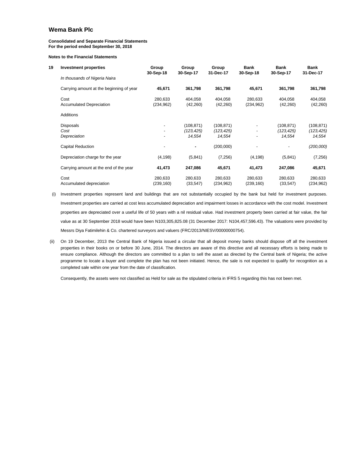#### **Consolidated and Separate Financial Statements For the period ended September 30, 2018**

#### **Notes to the Financial Statements**

| 19 | <b>Investment properties</b>             | Group<br>30-Sep-18       | Group<br>30-Sep-17   | Group<br>31-Dec-17   | <b>Bank</b><br>30-Sep-18 | <b>Bank</b><br>30-Sep-17 | Bank<br>31-Dec-17     |
|----|------------------------------------------|--------------------------|----------------------|----------------------|--------------------------|--------------------------|-----------------------|
|    | In thousands of Nigeria Naira            |                          |                      |                      |                          |                          |                       |
|    | Carrying amount at the beginning of year | 45,671                   | 361,798              | 361,798              | 45,671                   | 361,798                  | 361,798               |
|    | Cost<br><b>Accumulated Depreciation</b>  | 280,633<br>(234, 962)    | 404,058<br>(42, 260) | 404,058<br>(42, 260) | 280,633<br>(234, 962)    | 404,058<br>(42, 260)     | 404,058<br>(42, 260)  |
|    | <b>Additions</b>                         |                          |                      |                      |                          |                          |                       |
|    | <b>Disposals</b>                         |                          | (108, 871)           | (108, 871)           |                          | (108, 871)               | (108, 871)            |
|    | Cost<br>Depreciation                     |                          | (123,425)<br>14,554  | (123,425)<br>14,554  |                          | (123, 425)<br>14,554     | (123, 425)<br>14,554  |
|    | Capital Reduction                        | $\overline{\phantom{0}}$ | ٠                    | (200,000)            |                          |                          | (200,000)             |
|    | Depreciation charge for the year         | (4, 198)                 | (5,841)              | (7, 256)             | (4, 198)                 | (5,841)                  | (7, 256)              |
|    | Carrying amount at the end of the year   | 41,473                   | 247,086              | 45,671               | 41,473                   | 247,086                  | 45,671                |
|    | Cost<br>Accumulated depreciation         | 280,633<br>(239, 160)    | 280,633<br>(33, 547) | 280,633<br>(234,962) | 280,633<br>(239, 160)    | 280,633<br>(33, 547)     | 280,633<br>(234, 962) |

- (i) Investment properties represent land and buildings that are not substantially occupied by the bank but held for investment purposes. Investment properties are carried at cost less accumulated depreciation and impairment losses in accordance with the cost model. Investment properties are depreciated over a useful life of 50 years with a nil residual value. Had investment property been carried at fair value, the fair value as at 30 September 2018 would have been N103,305,825.08 (31 December 2017: N104,457,596.43). The valuations were provided by Messrs Diya Fatimilehin & Co. chartered surveyors and valuers (FRC/2013/NIESV/00000000754).
- (ii) On 19 December, 2013 the Central Bank of Nigeria issued a circular that all deposit money banks should dispose off all the investment properties in their books on or before 30 June, 2014. The directors are aware of this directive and all necessary efforts is being made to ensure compliance. Although the directors are committed to a plan to sell the asset as directed by the Central bank of Nigeria; the active programme to locate a buyer and complete the plan has not been initiated. Hence, the sale is not expected to qualify for recognition as a completed sale within one year from the date of classification.

Consequently, the assets were not classified as Held for sale as the stipulated criteria in IFRS 5 regarding this has not been met.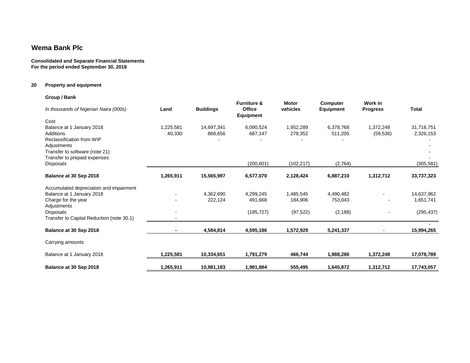#### **Consolidated and Separate Financial Statements For the period ended September 30, 2018**

### **20 Property and equipment**

| Group / Bank                                                                                                                                                        |                     |                       |                                                             |                          |                              |                            |                         |
|---------------------------------------------------------------------------------------------------------------------------------------------------------------------|---------------------|-----------------------|-------------------------------------------------------------|--------------------------|------------------------------|----------------------------|-------------------------|
| In thousands of Nigerian Naira (000s)                                                                                                                               | Land                | <b>Buildings</b>      | <b>Furniture &amp;</b><br><b>Office</b><br><b>Equipment</b> | <b>Motor</b><br>vehicles | Computer<br><b>Equipment</b> | Work in<br><b>Progress</b> | Total                   |
| Cost<br>Balance at 1 January 2018<br><b>Additions</b><br>Reclassification from WIP<br>Adjustments<br>Transfer to software (note 21)<br>Transfer to prepaid expenses | 1.225.581<br>40,330 | 14.697.341<br>868,656 | 6.090.524<br>687,147                                        | 1.952.289<br>278,352     | 6.378.768<br>511,205         | 1,372,248<br>(59, 536)     | 31,716,751<br>2,326,153 |
| Disposals                                                                                                                                                           |                     |                       | (200, 601)                                                  | (102, 217)               | (2,764)                      |                            | (305, 581)              |
| Balance at 30 Sep 2018                                                                                                                                              | 1,265,911           | 15,565,997            | 6,577,070                                                   | 2,128,424                | 6,887,210                    | 1,312,712                  | 33,737,323              |
| Accumulated depreciation and impairment                                                                                                                             |                     |                       |                                                             |                          |                              |                            |                         |
| Balance at 1 January 2018                                                                                                                                           |                     | 4,362,690             | 4,299,245                                                   | 1,485,545                | 4,490,482                    |                            | 14,637,962              |
| Charge for the year<br>Adjustments                                                                                                                                  |                     | 222.124               | 491,668                                                     | 184,906                  | 753,043                      |                            | 1,651,741               |
| <b>Disposals</b><br>Transfer to Capital Reduction (note 30.1)                                                                                                       |                     |                       | (195, 727)                                                  | (97, 522)                | (2, 188)                     |                            | (295, 437)              |
| Balance at 30 Sep 2018                                                                                                                                              |                     | 4,584,814             | 4,595,186                                                   | 1,572,929                | 5,241,337                    |                            | 15,994,265              |
| Carrying amounts                                                                                                                                                    |                     |                       |                                                             |                          |                              |                            |                         |
| Balance at 1 January 2018                                                                                                                                           | 1,225,581           | 10,334,651            | 1,791,279                                                   | 466,744                  | 1,888,286                    | 1,372,248                  | 17,078,789              |
| Balance at 30 Sep 2018                                                                                                                                              | 1,265,911           | 10,981,183            | 1,981,884                                                   | 555,495                  | 1,645,872                    | 1,312,712                  | 17,743,057              |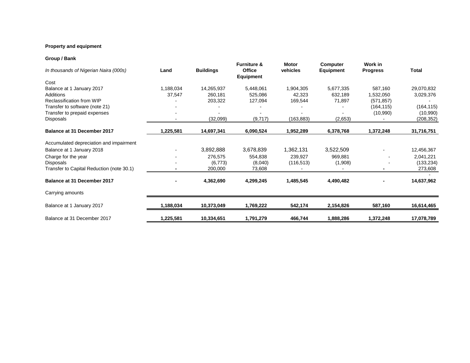### **Property and equipment**

### **Group / Bank**

| OI VUP <i>I</i> DUIIN                     |           |                  |                                               |                          |                              |                            |              |
|-------------------------------------------|-----------|------------------|-----------------------------------------------|--------------------------|------------------------------|----------------------------|--------------|
| In thousands of Nigerian Naira (000s)     | Land      | <b>Buildings</b> | <b>Furniture &amp;</b><br>Office<br>Equipment | <b>Motor</b><br>vehicles | <b>Computer</b><br>Equipment | Work in<br><b>Progress</b> | <b>Total</b> |
| Cost                                      |           |                  |                                               |                          |                              |                            |              |
| Balance at 1 January 2017                 | 1,188,034 | 14,265,937       | 5,448,061                                     | 1,904,305                | 5,677,335                    | 587,160                    | 29,070,832   |
| Additions                                 | 37,547    | 260,181          | 525,086                                       | 42,323                   | 632,189                      | 1,532,050                  | 3,029,376    |
| Reclassification from WIP                 |           | 203,322          | 127,094                                       | 169,544                  | 71,897                       | (571, 857)                 |              |
| Transfer to software (note 21)            |           |                  |                                               |                          |                              | (164, 115)                 | (164, 115)   |
| Transfer to prepaid expenses              |           |                  |                                               |                          |                              | (10,990)                   | (10,990)     |
| Disposals                                 |           | (32,099)         | (9,717)                                       | (163,883)                | (2,653)                      |                            | (208, 352)   |
| Balance at 31 December 2017               | 1,225,581 | 14,697,341       | 6,090,524                                     | 1,952,289                | 6,378,768                    | 1,372,248                  | 31,716,751   |
| Accumulated depreciation and impairment   |           |                  |                                               |                          |                              |                            |              |
| Balance at 1 January 2018                 |           | 3,892,888        | 3,678,839                                     | 1,362,131                | 3,522,509                    |                            | 12,456,367   |
| Charge for the year                       |           | 276,575          | 554,838                                       | 239,927                  | 969,881                      |                            | 2,041,221    |
| Disposals                                 |           | (6, 773)         | (8,040)                                       | (116, 513)               | (1,908)                      |                            | (133, 234)   |
| Transfer to Capital Reduction (note 30.1) |           | 200,000          | 73,608                                        |                          |                              |                            | 273,608      |
| Balance at 31 December 2017               |           | 4,362,690        | 4,299,245                                     | 1,485,545                | 4,490,482                    |                            | 14,637,962   |
| Carrying amounts                          |           |                  |                                               |                          |                              |                            |              |
| Balance at 1 January 2017                 | 1,188,034 | 10,373,049       | 1,769,222                                     | 542,174                  | 2,154,826                    | 587,160                    | 16,614,465   |
| Balance at 31 December 2017               | 1,225,581 | 10,334,651       | 1,791,279                                     | 466,744                  | 1,888,286                    | 1,372,248                  | 17,078,789   |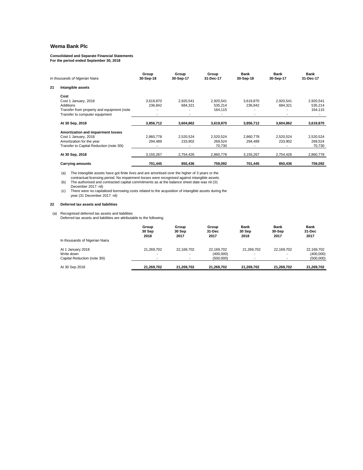### **Consolidated and Separate Financial Statements For the period ended September 30, 2018**

|    | In thousands of Nigerian Naira             | Group<br>30-Sep-18 | Group<br>30-Sep-17 | Group<br>31-Dec-17 | Bank<br>30-Sep-18 | Bank<br>30-Sep-17 | Bank<br>31-Dec-17 |
|----|--------------------------------------------|--------------------|--------------------|--------------------|-------------------|-------------------|-------------------|
| 21 | Intangible assets                          |                    |                    |                    |                   |                   |                   |
|    | Cost                                       |                    |                    |                    |                   |                   |                   |
|    | Cost 1 January, 2018                       | 3,619,870          | 2,920,541          | 2,920,541          | 3,619,870         | 2,920,541         | 2,920,541         |
|    | <b>Additions</b>                           | 236,842            | 684,321            | 535,214            | 236,842           | 684,321           | 535,214           |
|    | Transfer from property and equipment (note |                    |                    | 164.115            |                   |                   | 164,115           |
|    | Transfer to computer equipment             |                    |                    |                    |                   |                   |                   |
|    | At 30 Sep, 2018                            | 3,856,712          | 3,604,862          | 3,619,870          | 3,856,712         | 3,604,862         | 3,619,870         |
|    | Amortization and impairment losses         |                    |                    |                    |                   |                   |                   |
|    | Cost 1 January, 2018                       | 2,860,778          | 2,520,524          | 2,520,524          | 2,860,778         | 2,520,524         | 2,520,524         |
|    | Amortization for the year                  | 294,489            | 233,902            | 269,524            | 294,489           | 233,902           | 269,524           |
|    | Transfer to Capital Reduction (note 30i)   |                    |                    | 70,730             |                   |                   | 70,730            |
|    | At 30 Sep, 2018                            | 3,155,267          | 2,754,426          | 2,860,778          | 3,155,267         | 2,754,426         | 2,860,778         |
|    | <b>Carrying amounts</b>                    | 701,445            | 850,436            | 759,092            | 701,445           | 850,436           | 759,092           |

(a) The intangible assets have got finite lives and are amortised over the higher of 3 years or the<br>contractual licensing period. No impairment losses were recognised against intangible assets.<br>(b) The authorised and contr

December 2017: nil)

(c) There were no capitalised borrowing costs related to the acquisition of intangible assets during the year (31 December 2017: nil)

#### **22 Deferred tax assets and liabilities**

(a) Recognised deferred tax assets and liabilities Deferred tax assets and liabilities are attributable to the following:

| In thousands of Nigerian Naira | Group<br>30 Sep<br>2018  | Group<br>30 Sep<br>2017  | Group<br>31-Dec<br>2017 | <b>Bank</b><br>30 Sep<br>2018 | <b>Bank</b><br>30-Sep<br>2017 | <b>Bank</b><br>31-Dec<br>2017 |
|--------------------------------|--------------------------|--------------------------|-------------------------|-------------------------------|-------------------------------|-------------------------------|
| At 1 January 2018              | 21.269.702               | 22.169.702               | 22.169.702              | 21.269.702                    | 22.169.702                    | 22,169,702                    |
| Write down                     |                          | $\overline{\phantom{a}}$ | (400.000)               |                               | -                             | (400,000)                     |
| Capital Reduction (note 30i)   | $\overline{\phantom{a}}$ | $\overline{\phantom{a}}$ | (500.000)               |                               |                               | (500,000)                     |
| At 30 Sep 2018                 | 21.269.702               | 21,269,702               | 21.269.702              | 21,269,702                    | 21,269,702                    | 21,269,702                    |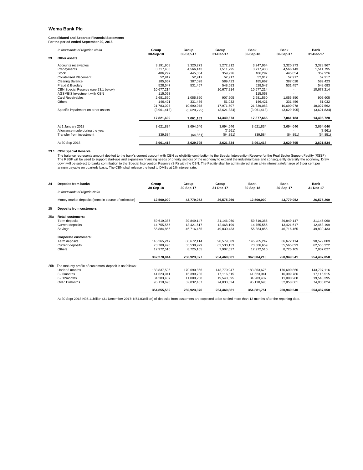### **Consolidated and Separate Financial Statements For the period ended September 30, 2018**

|    | In thousands of Nigerian Naira       | Group       | Group       | Group       | Bank        | Bank        | Bank        |
|----|--------------------------------------|-------------|-------------|-------------|-------------|-------------|-------------|
|    |                                      | 30-Sep-18   | 30-Sep-17   | 31-Dec-17   | 30-Sep-18   | 30-Sep-17   | 31-Dec-17   |
| 23 | Other assets                         |             |             |             |             |             |             |
|    | Accounts receivables                 | 3,191,908   | 3,320,273   | 3,272,912   | 3,247,964   | 3,320,273   | 3,328,967   |
|    | Prepayments                          | 3,717,438   | 4,566,143   | 1,511,795   | 3,717,438   | 4,566,143   | 1,511,795   |
|    | Stock                                | 486,297     | 445,854     | 359,926     | 486,297     | 445,854     | 359,926     |
|    | <b>Collaterised Placement</b>        | 52,917      | 52,917      | 52,917      | 52,917      | 52,917      | 52,917      |
|    | <b>Clearing Balance</b>              | 185.667     | 387.028     | 589,423     | 185.667     | 387.028     | 589,423     |
|    | Fraud & Burglary                     | 528,547     | 531,457     | 548,683     | 528,547     | 531,457     | 548,683     |
|    | CBN Special Reserve (see 23.1 below) | 10,677,214  |             | 10,677,214  | 10,677,214  |             | 10,677,214  |
|    | AGSMEIS Investment with CBN          | 115,058     |             |             | 115,058     |             |             |
|    | <b>Card Receivables</b>              | 2,681,560   | 1,055,850   | 907,605     | 2.681.560   | 1,055,850   | 907,605     |
|    | Others                               | 146.421     | 331.456     | 51,032      | 146.421     | 331.456     | 51,032      |
|    |                                      | 21,783,027  | 10,690,978  | 17.971.507  | 21,839,083  | 10,690,978  | 18,027,562  |
|    | Specific impairment on other assets  | (3,961,418) | (3,629,795) | (3,621,834) | (3,961,418) | (3,629,795) | (3,621,834) |
|    |                                      | 17,821,609  | 7,061,183   | 14,349,673  | 17,877,665  | 7,061,183   | 14,405,728  |
|    | At 1 January 2018                    | 3,621,834   | 3,694,646   | 3,694,646   | 3,621,834   | 3,694,646   | 3,694,646   |
|    | Allowance made during the year       |             |             | (7,961)     |             |             | (7,961)     |
|    | Transfer from investment             | 339,584     | (64, 851)   | (64, 851)   | 339,584     | (64, 851)   | (64, 851)   |
|    | At 30 Sep 2018                       | 3,961,418   | 3,629,795   | 3,621,834   | 3,961,418   | 3,629,795   | 3,621,834   |

23.1 CBN Special Reserve<br>The balance represents amount debited to the bank's current account with CBN as eligibility contribution to the Special Intervention Reserve for the Real Sector Support Facility (RSSF).<br>The RSSF wi

| 24              | Deposits from banks                                       | Group<br>30-Sep-18 | Group<br>30-Sep-17 | Group<br>31-Dec-17 | <b>Bank</b><br>30-Sep-18 | Bank<br>30-Sep-17 | <b>Bank</b><br>31-Dec-17 |
|-----------------|-----------------------------------------------------------|--------------------|--------------------|--------------------|--------------------------|-------------------|--------------------------|
|                 | In thousands of Nigeria Naira                             |                    |                    |                    |                          |                   |                          |
|                 | Money market deposits (Items in course of collection)     | 12,500,000         | 43,779,052         | 26,575,260         | 12,500,000               | 43,779,052        | 26,575,260               |
| 25              | <b>Deposits from customers</b>                            |                    |                    |                    |                          |                   |                          |
| 25a             | <b>Retail customers:</b>                                  |                    |                    |                    |                          |                   |                          |
|                 | Term deposits                                             | 59,619,386         | 39,849,147         | 31,146,060         | 59,619,386               | 39,849,147        | 31,146,060               |
|                 | Current deposits                                          | 14.755.555         | 13.421.617         | 12.468.199         | 14.755.555               | 13,421,617        | 12,468,199               |
|                 | Savings                                                   | 55.884.856         | 46.716.465         | 49.830.433         | 55.884.856               | 46.716.465        | 49,830,433               |
|                 | Corporate customers:                                      |                    |                    |                    |                          |                   |                          |
|                 | Term deposits                                             | 145,265,247        | 86,672,114         | 90,579,009         | 145,265,247              | 86,672,114        | 90,579,009               |
|                 | Current deposits                                          | 73.780.490         | 55.538.929         | 62.530.153         | 73.806.659               | 55.565.093        | 62,556,322               |
|                 | Others                                                    | 12,972,510         | 8,725,105          | 7.907.027          | 12,972,510               | 8,725,105         | 7,907,027                |
|                 |                                                           | 362,278,044        | 250,923,377        | 254,460,881        | 362,304,213              | 250,949,541       | 254,487,050              |
| 25 <sub>b</sub> | The maturity profile of customers' deposit is as follows: |                    |                    |                    |                          |                   |                          |
|                 | Under 3 months                                            | 183,837,506        | 170,690,866        | 143,770,947        | 183,863,675              | 170,690,866       | 143,797,116              |
|                 | 3 - 6months                                               | 41,623,941         | 16.399.786         | 17,116,515         | 41,623,941               | 16,399,786        | 17,116,515               |
|                 | $6 - 12$ months                                           | 34,283,437         | 11,000,288         | 19.540.395         | 34.283.437               | 11,000,288        | 19,540,395               |
|                 | Over 12months                                             | 95,110,698         | 52,832,437         | 74,033,024         | 95,110,698               | 52,858,601        | 74,033,024               |
|                 |                                                           | 354.855.582        | 250,923,376        | 254.460.881        | 354,881,751              | 250,949,540       | 254.487.050              |

At 30 Sept 2018 N95.11billion (31 December 2017: N74.03billion) of deposits from customers are expected to be settled more than 12 months after the reporting date.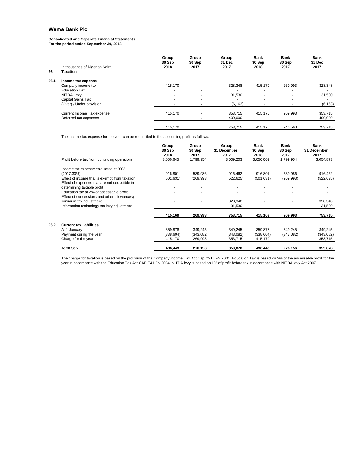**Consolidated and Separate Financial Statements For the period ended September 30, 2018**

| 26   | In thousands of Nigerian Naira<br><b>Taxation</b> | Group<br>30 Sep<br>2018  | Group<br>30 Sep<br>2017  | Group<br>31 Dec<br>2017 | <b>Bank</b><br>30 Sep<br>2018 | <b>Bank</b><br>30 Sep<br>2017 | <b>Bank</b><br>31 Dec<br>2017 |
|------|---------------------------------------------------|--------------------------|--------------------------|-------------------------|-------------------------------|-------------------------------|-------------------------------|
| 26.1 | Income tax expense                                |                          |                          |                         |                               |                               |                               |
|      | Company income tax                                | 415.170                  | $\overline{\phantom{a}}$ | 328.348                 | 415.170                       | 269,993                       | 328,348                       |
|      | <b>Education Tax</b>                              | ۰                        | ٠                        |                         | $\overline{\phantom{a}}$      | ۰                             |                               |
|      | <b>NITDA Levy</b>                                 | $\overline{\phantom{a}}$ | $\overline{\phantom{a}}$ | 31,530                  | $\overline{\phantom{a}}$      | $\overline{\phantom{a}}$      | 31,530                        |
|      | Capital Gains Tax                                 | ۰                        | ٠                        | ٠                       | $\overline{\phantom{a}}$      | ٠                             |                               |
|      | (Over) / Under provision                          | ٠                        | ٠                        | (6, 163)                | $\overline{\phantom{a}}$      | $\overline{\phantom{a}}$      | (6, 163)                      |
|      | Current Income Tax expense                        | 415.170                  | $\overline{\phantom{a}}$ | 353,715                 | 415.170                       | 269,993                       | 353,715                       |
|      | Deferred tax expenses                             |                          |                          | 400,000                 |                               |                               | 400,000                       |
|      |                                                   | 415.170                  |                          | 753.715                 | 415.170                       | 246.560                       | 753,715                       |
|      |                                                   |                          |                          |                         |                               |                               |                               |

The income tax expense for the year can be reconciled to the accounting profit as follows:

|      | Profit before tax from continuing operations  | Group<br>30 Sep<br>2018<br>3,056,645 | Group<br>30 Sep<br>2017<br>1,799,954 | Group<br>31 December<br>2017<br>3,009,203 | <b>Bank</b><br>30 Sep<br>2018<br>3,056,002 | <b>Bank</b><br>30 Sep<br>2017<br>1,799,954 | <b>Bank</b><br>31 December<br>2017<br>3,054,873 |
|------|-----------------------------------------------|--------------------------------------|--------------------------------------|-------------------------------------------|--------------------------------------------|--------------------------------------------|-------------------------------------------------|
|      | Income tax expense calculated at 30%          |                                      |                                      |                                           |                                            |                                            |                                                 |
|      | $(2017:30\%)$                                 | 916.801                              | 539,986                              | 916.462                                   | 916,801                                    | 539,986                                    | 916,462                                         |
|      | Effect of income that is exempt from taxation | (501, 631)                           | (269, 993)                           | (522, 625)                                | (501, 631)                                 | (269, 993)                                 | (522, 625)                                      |
|      | Effect of expenses that are not deductible in |                                      |                                      |                                           |                                            |                                            |                                                 |
|      | determining taxable profit                    |                                      |                                      |                                           |                                            |                                            |                                                 |
|      | Education tax at 2% of assessable profit      |                                      |                                      |                                           |                                            |                                            |                                                 |
|      | Effect of concessions and other allowances)   |                                      |                                      |                                           |                                            |                                            |                                                 |
|      | Minimum tax adjustment                        |                                      | ۰                                    | 328,348                                   | $\overline{\phantom{a}}$                   |                                            | 328,348                                         |
|      | Information technology tax levy adjustment    |                                      |                                      | 31,530                                    |                                            |                                            | 31,530                                          |
|      |                                               | 415,169                              | 269,993                              | 753,715                                   | 415,169                                    | 269,993                                    | 753,715                                         |
| 26.2 | <b>Current tax liabilities</b>                |                                      |                                      |                                           |                                            |                                            |                                                 |
|      | At 1 January                                  | 359,878                              | 349,245                              | 349,245                                   | 359,878                                    | 349,245                                    | 349,245                                         |
|      | Payment during the year                       | (338, 604)                           | (343,082)                            | (343,082)                                 | (338, 604)                                 | (343,082)                                  | (343,082)                                       |
|      | Charge for the year                           |                                      | 269,993                              | 353,715                                   | 415,170                                    |                                            | 353,715                                         |
|      |                                               | 415,170                              |                                      |                                           |                                            |                                            |                                                 |
|      | At 30 Sep                                     | 436,443                              | 276,156                              | 359,878                                   | 436,443                                    | 276,156                                    | 359,878                                         |

The charge for taxation is based on the provision of the Company Income Tax Act Cap C21 LFN 2004. Education Tax is based on 2% of the assessable profit for the<br>year in accordance with the Education Tax Act CAP E4 LFN 2004.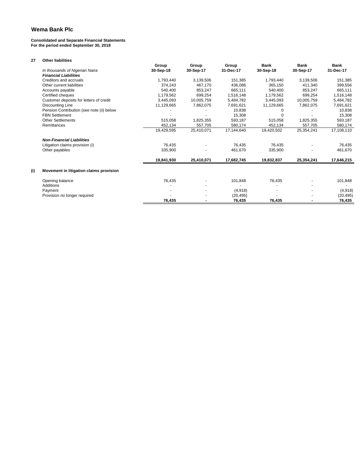#### **Consolidated and Separate Financial Statements For the period ended September 30, 2018**

| 27  | <b>Other liabilities</b>                  |            |            |            |            |             |             |
|-----|-------------------------------------------|------------|------------|------------|------------|-------------|-------------|
|     |                                           | Group      | Group      | Group      | Bank       | <b>Bank</b> | <b>Bank</b> |
|     | In thousands of Nigerian Naira            | 30-Sep-18  | 30-Sep-17  | 31-Dec-17  | 30-Sep-18  | 30-Sep-17   | 31-Dec-17   |
|     | <b>Financial Liabilities</b>              |            |            |            |            |             |             |
|     | Creditors and accruals                    | 1,793,440  | 3,139,506  | 151,385    | 1,793,440  | 3,139,506   | 151,385     |
|     | Other current liabilities                 | 374.243    | 467.170    | 436.086    | 365.150    | 411.340     | 399,556     |
|     | Accounts payable                          | 540.400    | 853,247    | 665.111    | 540.400    | 853,247     | 665,111     |
|     | Certified cheques                         | 1,179,562  | 699.254    | 1,516,148  | 1.179.562  | 699.254     | 1,516,148   |
|     | Customer deposits for letters of credit   | 3,445,093  | 10,005,759 | 5,484,782  | 3,445,093  | 10,005,759  | 5,484,782   |
|     | <b>Discounting Line</b>                   | 11,129,665 | 7,862,075  | 7,691,621  | 11,129,665 | 7,862,075   | 7,691,621   |
|     | Pension Contribution (see note (ii) below |            |            | 10.838     | 0          |             | 10,838      |
|     | <b>FBN Settlement</b>                     |            |            | 15,308     | $\Omega$   |             | 15,308      |
|     | <b>Other Settlements</b>                  | 515,058    | 1,825,355  | 593,187    | 515,058    | 1,825,355   | 593,187     |
|     | Remittances                               | 452,134    | 557.705    | 580,174    | 452,134    | 557.705     | 580,174     |
|     |                                           | 19,429,595 | 25,410,071 | 17.144.640 | 19,420,502 | 25,354,241  | 17,108,110  |
|     | <b>Non-Financial Liabilities</b>          |            |            |            |            |             |             |
|     | Litigation claims provision (i)           | 76.435     |            | 76.435     | 76,435     |             | 76,435      |
|     | Other payables                            | 335,900    |            | 461,670    | 335,900    |             | 461,670     |
|     |                                           | 19,841,930 | 25,410,071 | 17,682,745 | 19,832,837 | 25,354,241  | 17,646,215  |
| (i) | Movement in litigation claims provision   |            |            |            |            |             |             |
|     | Opening balance                           | 76,435     |            | 101,848    | 76,435     |             | 101,848     |
|     | Additions                                 |            |            |            |            |             |             |
|     | Payment                                   |            |            | (4,918)    |            |             | (4,918)     |
|     | Provision no longer required              |            |            | (20, 495)  |            |             | (20, 495)   |
|     |                                           | 76.435     |            | 76,435     | 76,435     |             | 76,435      |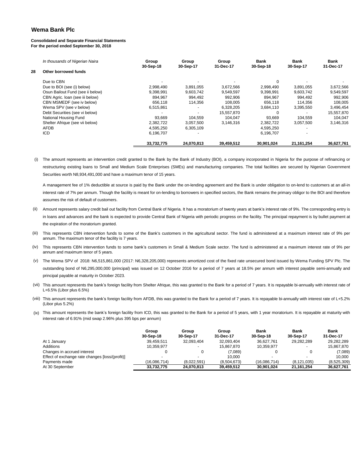#### **Consolidated and Separate Financial Statements For the period ended September 30, 2018**

|    | In thousands of Nigerian Naira   | Group<br>30-Sep-18 | Group<br>30-Sep-17 | Group<br>31-Dec-17 | Bank<br>30-Sep-18 | Bank<br>30-Sep-17 | Bank<br>31-Dec-17 |
|----|----------------------------------|--------------------|--------------------|--------------------|-------------------|-------------------|-------------------|
| 28 | Other borrowed funds             |                    |                    |                    |                   |                   |                   |
|    | Due to CBN                       |                    |                    |                    |                   |                   |                   |
|    | Due to BOI (see (i) below)       | 2,998,490          | 3,891,055          | 3.672.566          | 2,998,490         | 3,891,055         | 3,672,566         |
|    | Osun Bailout Fund (see ii below) | 9,398,991          | 9,603,742          | 9,549,597          | 9,398,991         | 9,603,742         | 9,549,597         |
|    | CBN Agric. Ioan (see iii below)  | 894.967            | 994.492            | 992,906            | 894.967           | 994.492           | 992,906           |
|    | CBN MSMEDF (see iv below)        | 656.118            | 114,356            | 108.005            | 656.118           | 114.356           | 108,005           |
|    | Wema SPV (see v below)           | 6,515,861          |                    | 6.328.205          | 3,684,110         | 3,395,550         | 3,496,454         |
|    | Debt Securities (see vi below)   |                    |                    | 15,557,870         |                   |                   | 15,557,870        |
|    | National Housing Fund            | 93,669             | 104.559            | 104.047            | 93.669            | 104.559           | 104,047           |
|    | Shelter Afrique (see vii below)  | 2,382,722          | 3,057,500          | 3,146,316          | 2,382,722         | 3,057,500         | 3,146,316         |
|    | <b>AFDB</b>                      | 4.595.250          | 6,305,109          |                    | 4,595,250         |                   |                   |
|    | <b>ICD</b>                       | 6,196,707          |                    |                    | 6,196,707         |                   |                   |
|    |                                  | 33.732.775         | 24,070,813         | 39,459,512         | 30,901,024        | 21, 161, 254      | 36.627.761        |

(i) The amount represents an intervention credit granted to the Bank by the Bank of Industry (BOI), a company incorporated in Nigeria for the purpose of refinancing or restructuring existing loans to Small and Medium Scale Enterprises (SMEs) and manufacturing companies. The total facilities are secured by Nigerian Government Securities worth N8,934,491,000 and have a maximum tenor of 15 years.

A management fee of 1% deductible at source is paid by the Bank under the on-lending agreement and the Bank is under obligation to on-lend to customers at an all-in interest rate of 7% per annum. Though the facility is meant for on-lending to borrowers in specified sectors, the Bank remains the primary obligor to the BOI and therefore assumes the risk of default of customers.

- (ii) Amount represents salary credit bail out facility from Central Bank of Nigeria. It has a moratorium of twenty years at bank's interest rate of 9%. The corresponding entry is in loans and advances and the bank is expected to provide Central Bank of Nigeria with periodic progress on the facility. The principal repayment is by bullet payment at the expiration of the moratorium granted.
- (iii) This represents CBN intervention funds to some of the Bank's customers in the agricultural sector. The fund is administered at a maximum interest rate of 9% per annum. The maximum tenor of the facility is 7 years.
- (iv) This represents CBN intervention funds to some bank's customers in Small & Medium Scale sector. The fund is administered at a maximum interest rate of 9% per annum and maximum tenor of 5 years.
- (v) The Wema SPV of 2018: N6,515,861,000 (2017: N6,328,205,000) represents amortized cost of the fixed rate unsecured bond issued by Wema Funding SPV Plc. The outstanding bond of N6,295,000,000 (principal) was issued on 12 October 2016 for a period of 7 years at 18.5% per annum with interest payable semi-annually and principal payable at maturity in October 2023.
- (vii) This amount represents the bank's foreign facility from Shelter Afrique, this was granted to the Bank for a period of 7 years. It is repayable bi-annually with interest rate of L+6.5% (Libor plus 6.5%)
- (viii) This amount represents the bank's foreign facility from AFDB, this was granted to the Bank for a period of 7 years. It is repayable bi-annually with interest rate of L+5.2% (Libor plus 5.2%)
- (ix) This amount represents the bank's foreign facility from ICD, this was granted to the Bank for a period of 5 years, with 1 year moratorium. It is repayable at maturity with interest rate of 6.91% (mid swap 2.96% plus 395 bps per annum)

|                                                 | Group<br>30-Sep-18 | Group<br>30-Sep-17 | Group<br>31-Dec-17 | <b>Bank</b><br>30-Sep-18 | Bank<br>30-Sep-17        | Bank<br>31-Dec-17 |
|-------------------------------------------------|--------------------|--------------------|--------------------|--------------------------|--------------------------|-------------------|
| At 1 January                                    | 39.459.511         | 32,093,404         | 32,093,404         | 36.627.761               | 29,282,289               | 29.282.289        |
| Additions                                       | 10.359.977         |                    | 15.867.870         | 10.359.977               | $\overline{\phantom{0}}$ | 15.867.870        |
| Changes in accrued interest                     |                    |                    | (7,089)            |                          |                          | (7,089)           |
| Effect of exchange rate changes [loss/(profit)] |                    |                    | 10.000             |                          |                          | 10.000            |
| Payments made                                   | (16.086.714)       | (8.022.591)        | (8.504.673)        | (16.086.714)             | (8, 121, 035)            | (8,525,309)       |
| At 30 September                                 | 33.732.775         | 24.070.813         | 39.459.512         | 30.901.024               | 21.161.254               | 36.627.761        |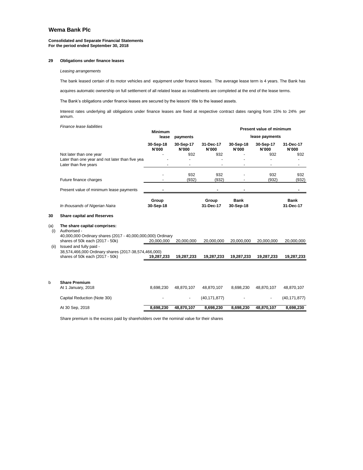#### **Consolidated and Separate Financial Statements For the period ended September 30, 2018**

#### **29 Obligations under finance leases**

*Leasing arrangements*

The bank leased certain of its motor vehicles and equipment under finance leases. The average lease term is 4 years. The Bank has

acquires automatic ownership on full settlement of all related lease as installments are completed at the end of the lease terms.

The Bank's obligations under finance leases are secured by the lessors' title to the leased assets.

Interest rates underlying all obligations under finance leases are fixed at respective contract dates ranging from 15% to 24% per annum.

|            | Finance lease liabilities                                                                                   | <b>Minimum</b>     |                    |                    | Present value of minimum |                    |                          |  |
|------------|-------------------------------------------------------------------------------------------------------------|--------------------|--------------------|--------------------|--------------------------|--------------------|--------------------------|--|
|            |                                                                                                             | lease              | payments           |                    |                          | lease payments     |                          |  |
|            |                                                                                                             | 30-Sep-18<br>N'000 | 30-Sep-17<br>N'000 | 31-Dec-17<br>N'000 | 30-Sep-18<br>N'000       | 30-Sep-17<br>N'000 | 31-Dec-17<br>N'000       |  |
|            | Not later than one year<br>Later than one year and not later than five yea<br>Later than five years         | $\blacksquare$     | 932                | 932                | $\overline{a}$           | 932<br>ä,          | 932<br>٠                 |  |
|            | Future finance charges                                                                                      |                    | 932<br>(932)       | 932<br>(932)       |                          | 932<br>(932)       | 932<br>(932)             |  |
|            | Present value of minimum lease payments                                                                     |                    |                    |                    |                          |                    |                          |  |
|            | In thousands of Nigerian Naira                                                                              | Group<br>30-Sep-18 |                    | Group<br>31-Dec-17 | <b>Bank</b><br>30-Sep-18 |                    | <b>Bank</b><br>31-Dec-17 |  |
| 30         | <b>Share capital and Reserves</b>                                                                           |                    |                    |                    |                          |                    |                          |  |
| (a)<br>(i) | The share capital comprises:<br>Authorised -<br>40,000,000 Ordinary shares (2017 - 40,000,000,000) Ordinary |                    |                    |                    |                          |                    |                          |  |
|            | shares of 50k each (2017 - 50k)                                                                             | 20,000,000         | 20,000,000         | 20,000,000         | 20,000,000               | 20,000,000         | 20,000,000               |  |
| (ii)       | Issued and fully paid -<br>38,574,466,000 Ordinary shares (2017-38,574,466,000)                             |                    |                    |                    |                          |                    |                          |  |
|            | shares of 50k each (2017 - 50k)                                                                             | 19,287,233         | 19,287,233         | 19,287,233         | 19,287,233               | 19,287,233         | 19,287,233               |  |
|            |                                                                                                             |                    |                    |                    |                          |                    |                          |  |
| b          | <b>Share Premium</b><br>At 1 January, 2018                                                                  | 8,698,230          | 48,870,107         | 48,870,107         | 8,698,230                | 48,870,107         | 48,870,107               |  |
|            | Capital Reduction (Note 30i)                                                                                |                    |                    | (40, 171, 877)     |                          | $\blacksquare$     | (40, 171, 877)           |  |
|            | At 30 Sep, 2018                                                                                             | 8,698,230          | 48,870,107         | 8,698,230          | 8,698,230                | 48,870,107         | 8,698,230                |  |
|            |                                                                                                             |                    |                    |                    |                          |                    |                          |  |

Share premium is the excess paid by shareholders over the nominal value for their shares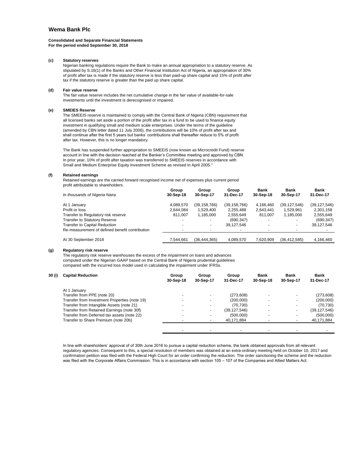#### **Consolidated and Separate Financial Statements For the period ended September 30, 2018**

#### **(c) Statutory reserves**

Nigerian banking regulations require the Bank to make an annual appropriation to a statutory reserve. As stipulated by S.16(1) of the Banks and Other Financial Institution Act of Nigeria, an appropriation of 30% of profit after tax is made if the statutory reserve is less than paid-up share capital and 15% of profit after tax if the statutory reserve is greater than the paid up share capital.

#### **(d) Fair value reserve**

The fair value reserve includes the net cumulative change in the fair value of available-for-sale investments until the investment is derecognised or impaired.

#### **(e) SMEIES Reserve**

The SMEEIS reserve is maintained to comply with the Central Bank of Nigeria (CBN) requirement that all licensed banks set aside a portion of the profit after tax in a fund to be used to finance equity investment in qualifying small and medium scale enterprises. Under the terms of the guideline (amended by CBN letter dated 11 July 2006), the contributions will be 10% of profit after tax and shall continue after the first 5 years but banks' contributions shall thereafter reduce to 5% of profit after tax. However, this is no longer mandatory.

The Bank has suspended further appropriation to SMEEIS (now known as Microcredit Fund) reserve account in line with the decision reached at the Banker's Committee meeting and approved by CBN. In prior year, 10% of profit after taxation was transferred to SMEEIS reserves in accordance with Small and Medium Enterprise Equity Investment Scheme as revised in April 2005."

#### **(f) Retained earnings**

Retained earnings are the carried forward recognised income net of expenses plus current period profit attributable to shareholders.

|                                                | Group                    | Group          | Group          | Bank      | Bank<br>30-Sep-17 | Bank           |
|------------------------------------------------|--------------------------|----------------|----------------|-----------|-------------------|----------------|
| In thousands of Nigeria Naira                  | 30-Sep-18                | 30-Sep-17      | 31-Dec-17      | 30-Sep-18 |                   | 31-Dec-17      |
| At 1 January                                   | 4,089,570                | (39, 158, 766) | (39, 158, 766) | 4,166,460 | (39, 127, 546)    | (39, 127, 546) |
| Profit or loss                                 | 2.644.084                | 1.529.400      | 2,255,488      | 2,643,441 | 1,529,961         | 2,301,158      |
| Transfer to Regulatory risk reserve            | 811.007                  | 1,185,000      | 2,555,649      | 811.007   | 1,185,000         | 2,555,649      |
| <b>Transfer to Statutory Reserve</b>           | $\overline{\phantom{0}}$ |                | (690, 347)     |           |                   | (690, 347)     |
| <b>Transfer to Capital Reduction</b>           |                          |                | 39.127.546     |           |                   | 39,127,546     |
| Re-measurement of defined benefit contribution |                          |                |                |           |                   |                |
| At 30 September 2018                           | 7.544.661                | (36.444.365)   | 4.089.570      | 7.620.909 | (36.412.585)      | 4.166.460      |

#### **(g) Regulatory risk reserve**

The regulatory risk reserve warehouses the excess of the impairment on loans and advances computed under the Nigerian GAAP based on the Central Bank of Nigeria prudential guidelines compared with the incurred loss model used in calculating the impairment under IFRSs.

| 30 (i) | <b>Capital Reduction</b>                      | Group<br>30-Sep-18 | Group<br>30-Sep-17 | Group<br>31-Dec-17 | Bank<br>30-Sep-18 | Bank<br>30-Sep-17 | Bank<br>31-Dec-17 |
|--------|-----------------------------------------------|--------------------|--------------------|--------------------|-------------------|-------------------|-------------------|
|        | At 1 January                                  |                    |                    |                    |                   |                   |                   |
|        | Transfer from PPE (note 20)                   |                    | $\sim$             | (273,608)          |                   |                   | (273, 608)        |
|        | Transfer from Investment Properties (note 19) |                    | -                  | (200,000)          |                   |                   | (200,000)         |
|        | Transfer from Intangible Assets (note 21)     |                    | $\sim$             | (70, 730)          |                   |                   | (70, 730)         |
|        | Transfer from Retained Earnings (note 30f)    |                    | ۰                  | (39, 127, 546)     |                   |                   | (39, 127, 546)    |
|        | Transfer from Deferred tax assets (note 22)   |                    | ٠                  | (500.000)          |                   |                   | (500,000)         |
|        | Transfer to Share Premium (note 20b)          |                    |                    | 40,171,884         |                   |                   | 40,171,884        |
|        |                                               |                    |                    |                    |                   |                   |                   |

In line with shareholders' approval of of 30th June 2016 to pursue a capital reduction scheme, the bank obtained approvals from all relevant regulatory agencies. Consequent to this, a special resolution of members was obtained at an extra-ordinary meeting held on October 10, 2017 and confirmation petition was filed with the Federal High Court for an order confirming the reduction. The order sanctioning the scheme and the reduction was filed with the Corporate Affairs Commission. This is in accordance with section 105 – 107 of the Companies and Allied Matters Act.